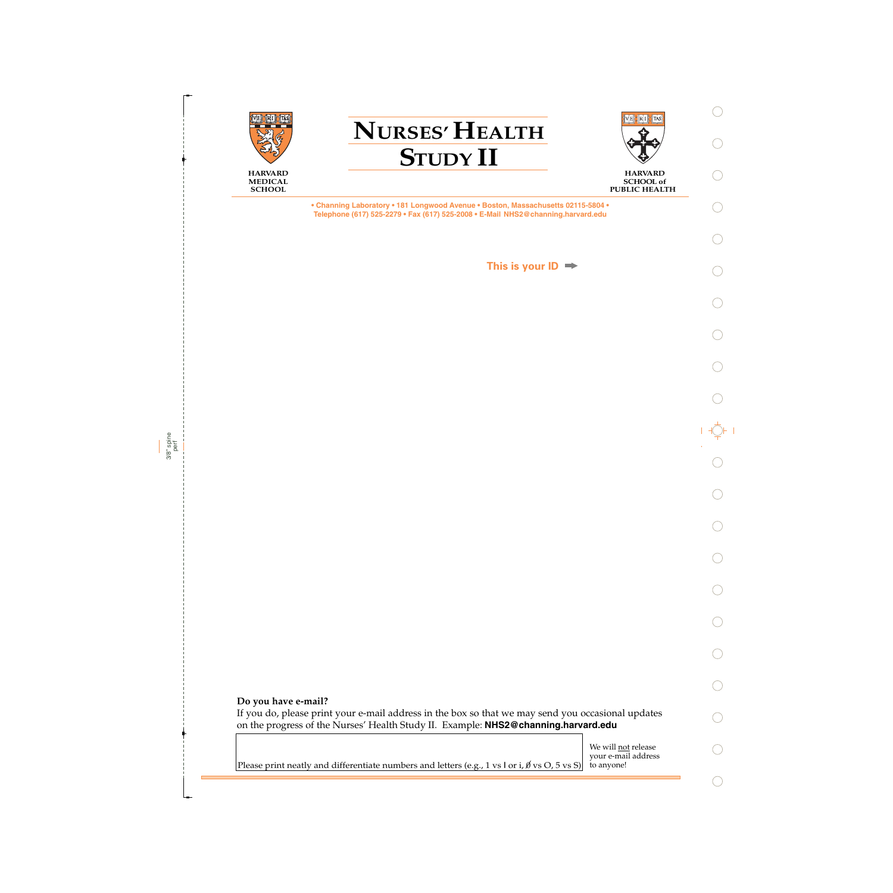

**HARVARD SCHOOL of PUBLIC HEALTH** 



**SCHOOL**

**• Channing Laboratory • 181 Longwood Avenue • Boston, Massachusetts 02115-5804 • Telephone (617) 525-2279 • Fax (617) 525-2008 • E-Mail NHS2@channing.harvard.edu**

**NURSES' HEALTH**

**STUDY II**

**This is your ID**

If you do, please print your e-mail address in the box so that we may send you occasional updates on the progress of the Nurses' Health Study II. Example: **NHS2@channing.harvard.edu**

> We will not release your e-mail address to anyone!

Please print neatly and differentiate numbers and letters (e.g., 1 vs l or i,  $\emptyset$  vs O, 5 vs S)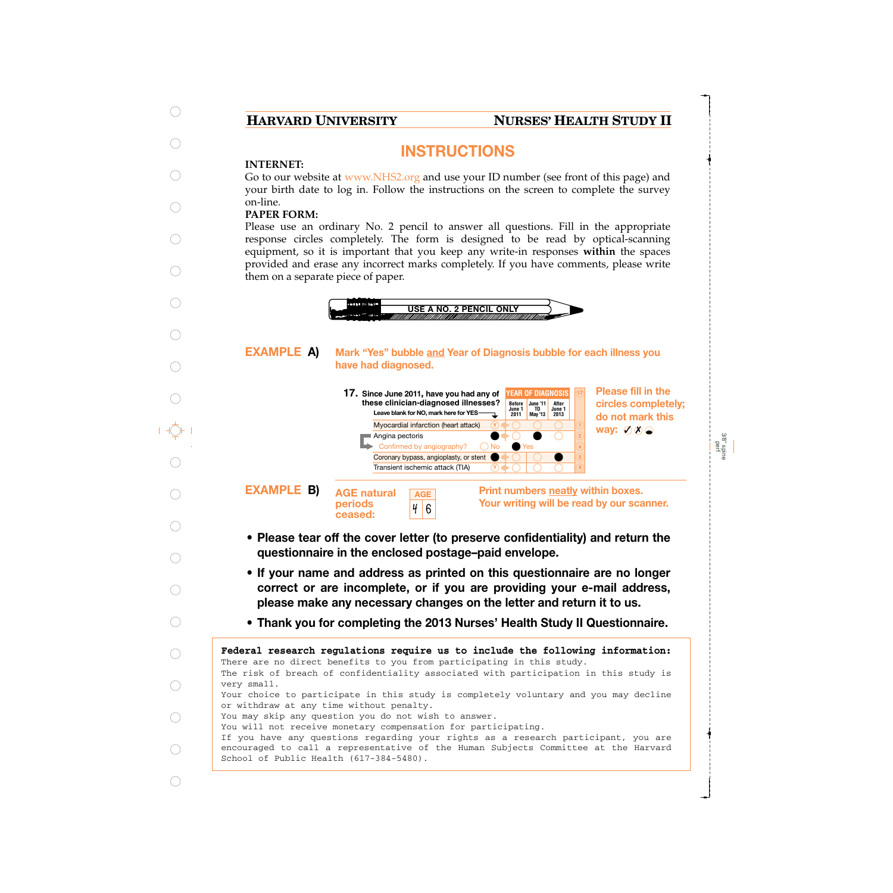## **HARVARD UNIVERSITY NURSES' HEALTH STUDY II**

3/8" spine perf

# **INSTRUCTIONS**

### **INTERNET:**

Go to our website at www.NHS2.org and use your ID number (see front of this page) and your birth date to log in. Follow the instructions on the screen to complete the survey on-line.

## **PAPER FORM:**

Please use an ordinary No. 2 pencil to answer all questions. Fill in the appropriate response circles completely. The form is designed to be read by optical-scanning equipment, so it is important that you keep any write-in responses **within** the spaces provided and erase any incorrect marks completely. If you have comments, please write them on a separate piece of paper.



- **Please tear off the cover letter (to preserve confidentiality) and return the questionnaire in the enclosed postage–paid envelope.**
- **If your name and address as printed on this questionnaire are no longer correct or are incomplete, or if you are providing your e-mail address, please make any necessary changes on the letter and return it to us.**
- **Thank you for completing the 2013 Nurses' Health Study II Questionnaire.**

| Federal research regulations require us to include the following information:                                                 |
|-------------------------------------------------------------------------------------------------------------------------------|
| There are no direct benefits to you from participating in this study.                                                         |
| The risk of breach of confidentiality associated with participation in this study is                                          |
| very small.                                                                                                                   |
| Your choice to participate in this study is completely voluntary and you may decline                                          |
| or withdraw at any time without penalty.                                                                                      |
| You may skip any question you do not wish to answer.                                                                          |
| You will not receive monetary compensation for participating.                                                                 |
| If you have any questions regarding your rights as a research participant, you are                                            |
| encouraged to call a representative of the Human Subjects Committee at the Harvard<br>School of Public Health (617-384-5480). |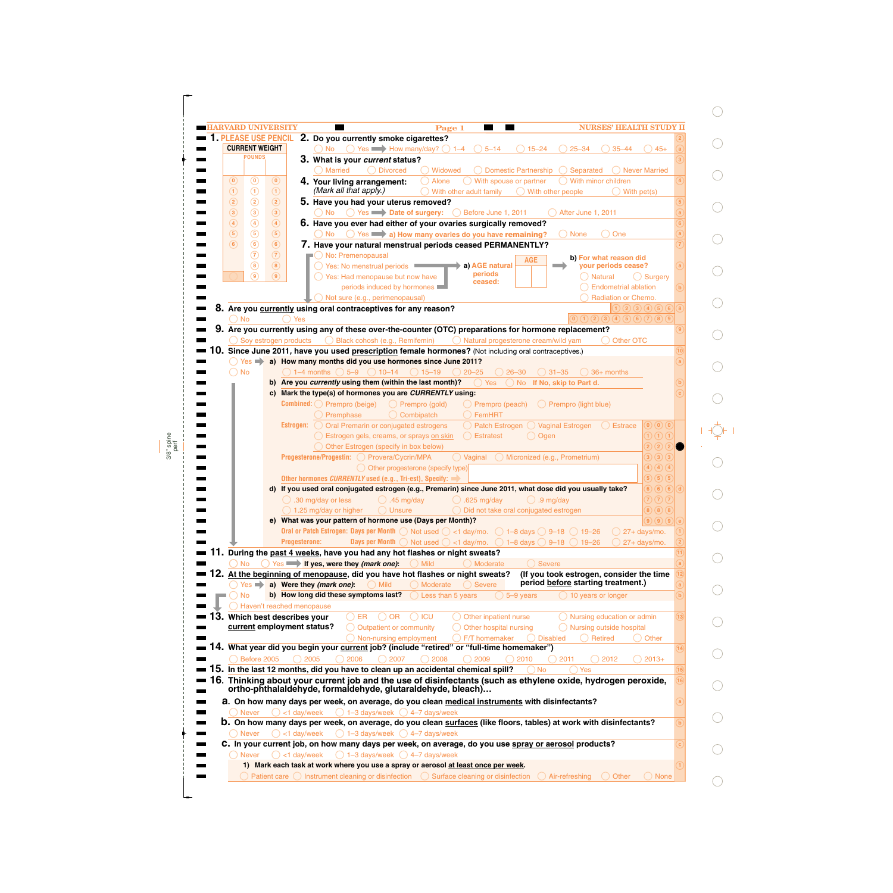| <b>LARVARD UNIVERSITY</b><br><b>PLEASE USE PENCIL</b> | <b>NURSES' HEALTH STUDY II</b><br>Page 1<br>2. Do you currently smoke cigarettes?                                                                                                                  |
|-------------------------------------------------------|----------------------------------------------------------------------------------------------------------------------------------------------------------------------------------------------------|
| <b>CURRENT WEIGHT</b>                                 | $\bigcirc$ No $\bigcirc$ Yes $\longrightarrow$ How many/day? $\bigcirc$ 1–4 $\bigcirc$ 5–14<br>$\bigcirc$ 25-34<br>$() 15 - 24$<br>$35 - 44$<br>$\left( \right)$ 45+                               |
| <b>POUNDS</b>                                         |                                                                                                                                                                                                    |
|                                                       | 3. What is your current status?                                                                                                                                                                    |
|                                                       | <b>Married</b><br>◯ Divorced<br>◯ Widowed<br>$\bigcirc$ Domestic Partnership $\bigcirc$ Separated<br>( ) Never Married                                                                             |
| $\odot$<br>$\left( 0\right)$                          | $\bigcirc$ With spouse or partner<br>$\bigcirc$ With minor children<br>Alone<br>$\left( \mathbf{0}\right)$<br>4. Your living arrangement:<br>(Mark all that apply.)                                |
| $\odot$<br>$\odot$                                    | $\circled{1}$<br>With other adult family<br>$\bigcirc$ With other people<br>$\bigcirc$ With pet(s)                                                                                                 |
| $\circled{2}$<br>$\circled{2}$                        | 5. Have you had your uterus removed?<br>$\circled{2}$                                                                                                                                              |
| $\circled{3}$<br>$\circled{3}$                        | $\circled{3}$<br>No<br><b>Date of surgery:</b><br><b>Defore June 1, 2011</b><br>After June 1, 2011                                                                                                 |
| $\circled{4}$<br>$\left( 4\right)$                    | $\circled{4}$<br>6. Have you ever had either of your ovaries surgically removed?                                                                                                                   |
| $\circled{5}$<br>(5)                                  | No $\bigcirc$ Yes $\longrightarrow$ a) How many ovaries do you have remaining?<br>(5)<br>( ) One<br>( ) None                                                                                       |
| $\circled{6}$<br>$\circ$                              | (6)<br>7. Have your natural menstrual periods ceased PERMANENTLY?                                                                                                                                  |
| $\circledcirc$                                        | $\left( 7\right)$<br>No: Premenopausal<br>b) For what reason did<br><b>AGE</b>                                                                                                                     |
| $\circled{8}$                                         | $\circled{8}$<br>your periods cease?<br>◯ Yes: No menstrual periods<br>a) AGE natural<br>periods                                                                                                   |
| $\circledcirc$                                        | (9)<br>$\bigcirc$ Yes: Had menopause but now have<br>$\bigcirc$ Natural<br>( ) Surgery<br>ceased:                                                                                                  |
|                                                       | periods induced by hormones<br><b>Endometrial ablation</b>                                                                                                                                         |
|                                                       | $\bigcirc$ Not sure (e.g., perimenopausal)<br>Radiation or Chemo.                                                                                                                                  |
|                                                       | (1)(2)(3)(4)(5)(6)<br>8. Are you currently using oral contraceptives for any reason?                                                                                                               |
| $)$ No                                                | $\begin{pmatrix} 0 & 1 & 2 & 3 & 4 & 5 & 6 & 7 & 8 & 9 \end{pmatrix}$<br>Yes                                                                                                                       |
|                                                       | 9. Are you currently using any of these over-the-counter (OTC) preparations for hormone replacement?                                                                                               |
|                                                       | $\bigcirc$ Soy estrogen products $\bigcirc$ Black cohosh (e.g., Remifemin)<br>◯ Natural progesterone cream/wild yam<br>( ) Other OTC                                                               |
|                                                       | 10. Since June 2011, have you used prescription female hormones? (Not including oral contraceptives.)                                                                                              |
|                                                       | ◯ Yes a) How many months did you use hormones since June 2011?                                                                                                                                     |
| ◯ No                                                  | $\bigcirc$ 1–4 months $\bigcirc$ 5–9 $\bigcirc$ 10–14 $\bigcirc$ 15–19 $\bigcirc$ 20–25<br>$() 26 - 30$<br>$\bigcirc$ 31-35<br>$\bigcirc$ 36+ months                                               |
|                                                       | b) Are you currently using them (within the last month)?<br>$\bigcirc$ Yes<br>No If No, skip to Part d.                                                                                            |
|                                                       | c) Mark the type(s) of hormones you are CURRENTLY using:                                                                                                                                           |
|                                                       | <b>Combined:</b> $\bigcirc$ Prempro (beige)<br>$\bigcirc$ Prempro (gold)<br>$\bigcirc$ Prempro (peach)<br>$\bigcirc$ Prempro (light blue)                                                          |
|                                                       | FemHRT<br>Premphase<br>$\bigcirc$ Combipatch                                                                                                                                                       |
|                                                       | ◯ Patch Estrogen ◯ Vaginal Estrogen ◯ Estrace<br><b>Estrogen:</b> $\bigcirc$ Oral Premarin or conjugated estrogens<br>$\left( \mathbf{0}\right) \left( \mathbf{0}\right) \left( \mathbf{0}\right)$ |
|                                                       | $\bigcap (1)$<br>Estrogen gels, creams, or sprays on skin<br>$\bigcirc$ Estratest<br>$\bigcirc$ Ogen                                                                                               |
|                                                       | $2)$ $2)$ $2$<br>Other Estrogen (specify in box below)                                                                                                                                             |
|                                                       | $\overline{3}$ $\overline{3}$ $\overline{3}$ $\overline{3}$<br>◯ Vaginal ◯ Micronized (e.g., Prometrium)<br>Progesterone/Progestin: O Provera/Cycrin/MPA                                           |
|                                                       | $\binom{4}{4}$ $\binom{4}{4}$<br>O Other progesterone (specify type)                                                                                                                               |
|                                                       | $\overline{5}$ (5) (5)<br>Other hormones CURRENTLY used (e.g., Tri-est), Specify:                                                                                                                  |
|                                                       | $6(6)$ $6)$<br>d) If you used oral conjugated estrogen (e.g., Premarin) since June 2011, what dose did you usually take?                                                                           |
|                                                       | $\overline{\mathfrak{D}}\mathfrak{D}\overline{\mathfrak{D}}$<br>$\bigcirc$ .30 mg/day or less<br>.625 $mg/day$<br>$\bigcirc$ .9 mg/day<br>$\bigcirc$ .45 mg/day                                    |
|                                                       | $\bigcirc$ $\bigcirc$ $\bigcirc$ $\bigcirc$<br>$\bigcirc$ 1.25 mg/day or higher<br>O Unsure<br>◯ Did not take oral conjugated estrogen                                                             |
|                                                       | $\Theta$<br>(9)(9)<br>e) What was your pattern of hormone use (Days per Month)?                                                                                                                    |
|                                                       | Oral or Patch Estrogen: Days per Month $\bigcirc$ Not used $\bigcirc$ <1 day/mo. $\bigcirc$ 1-8 days $\bigcirc$ 9-18 $\bigcirc$ 19-26<br>27+ days/mo.                                              |
|                                                       | <b>Days per Month</b> $\bigcirc$ Not used $\bigcirc$ <1 day/mo. $\bigcirc$ 1-8 days $\bigcirc$ 9-18 $\bigcirc$ 19-26<br><b>Progesterone:</b><br>27+ days/mo.                                       |
|                                                       | 11. During the past 4 weeks, have you had any hot flashes or night sweats?                                                                                                                         |
| <b>No</b>                                             | Yes <b>in the lif yes, were they (mark one):</b><br>$\bigcirc$ Mild<br>$\bigcirc$ Severe<br>Moderate                                                                                               |
|                                                       | 12. At the beginning of menopause, did you have hot flashes or night sweats?<br>(If you took estrogen, consider the time                                                                           |
| $Yes \Rightarrow$                                     | period before starting treatment.)<br>a) Were they (mark one):<br>Mild<br>Moderate<br><b>Severe</b>                                                                                                |
| No                                                    | b) How long did these symptoms last?<br>Less than 5 years<br>5-9 years<br>$( ) 10$ years or longer                                                                                                 |
|                                                       | Haven't reached menopause                                                                                                                                                                          |
|                                                       | 3. Which best describes your<br>Other inpatient nurse<br>Nursing education or admin<br>OR<br>$\bigcirc$ ICU<br>.)ER<br>$(\ )$                                                                      |
|                                                       | current employment status?<br>Other hospital nursing<br>Nursing outside hospital<br>Outpatient or community                                                                                        |
|                                                       | ◯ Non-nursing employment<br>F/T homemaker<br>$\bigcap$ Retired<br><b>Disabled</b><br>Other                                                                                                         |
|                                                       | 14. What year did you begin your current job? (include "retired" or "full-time homemaker")                                                                                                         |
| Before 2005                                           | 2006<br>2005<br>2007<br>2009<br>$\bigcirc$ 2010<br>2011<br>2012<br>$2013+$<br>2008                                                                                                                 |
|                                                       | ${\bf 15}.$ In the last 12 months, did you have to clean up an accidental chemical spill?<br><b>No</b><br><b>Yes</b>                                                                               |
|                                                       | 16. Thinking about your current job and the use of disinfectants (such as ethylene oxide, hydrogen peroxide,                                                                                       |
|                                                       | ortho-phthalaldehyde, formaldehyde, glutaraldehyde, bleach)                                                                                                                                        |
|                                                       |                                                                                                                                                                                                    |
|                                                       | a. On how many days per week, on average, do you clean medical instruments with disinfectants?                                                                                                     |
| <b>Never</b>                                          | <1 day/week<br>$\bigcirc$ 1–3 days/week $\bigcirc$ 4–7 days/week                                                                                                                                   |
|                                                       | <b>b.</b> On how many days per week, on average, do you clean surfaces (like floors, tables) at work with disinfectants?                                                                           |
|                                                       | $\bigcirc$ 1-3 days/week $\bigcirc$ 4-7 days/week<br>$\bigcirc$ <1 day/week                                                                                                                        |
| <b>Never</b>                                          |                                                                                                                                                                                                    |
|                                                       | C. In your current job, on how many days per week, on average, do you use spray or aerosol products?                                                                                               |
| ( ) Never                                             | $\bigcirc$ <1 day/week<br>$\bigcirc$ 1-3 days/week $\bigcirc$ 4-7 days/week<br>1) Mark each task at work where you use a spray or aerosol at least once per week.                                  |

 $\bigcirc$ 

 $\bigcirc$ 

 $\bigcirc$ 

 $\bigcirc$ 

 $\bigcirc$ 

 $\bigcirc$ 

 $\bigcirc$ 

 $\bigcirc$ 

 $\bigcirc$ 

 $\begin{picture}(20,5) \put(0,0) {\line(0,1){10}} \put(15,0) {\line(0,1){10}} \put(15,0) {\line(0,1){10}} \put(15,0) {\line(0,1){10}} \put(15,0) {\line(0,1){10}} \put(15,0) {\line(0,1){10}} \put(15,0) {\line(0,1){10}} \put(15,0) {\line(0,1){10}} \put(15,0) {\line(0,1){10}} \put(15,0) {\line(0,1){10}} \put(15,0) {\line(0,1){10}} \put(15,0) {\line(0,$ 

 $\bigcirc$ 

 $\bigcirc$ 

 $\bigcirc$ 

 $\bigcirc$ 

 $\bigcirc$ 

 $\bigcirc$ 

 $\bigcirc$ 

 $\bigcirc$ 

 $\bigcirc$ 

 $\bigcirc$ 

 $\bigcirc$ 

perf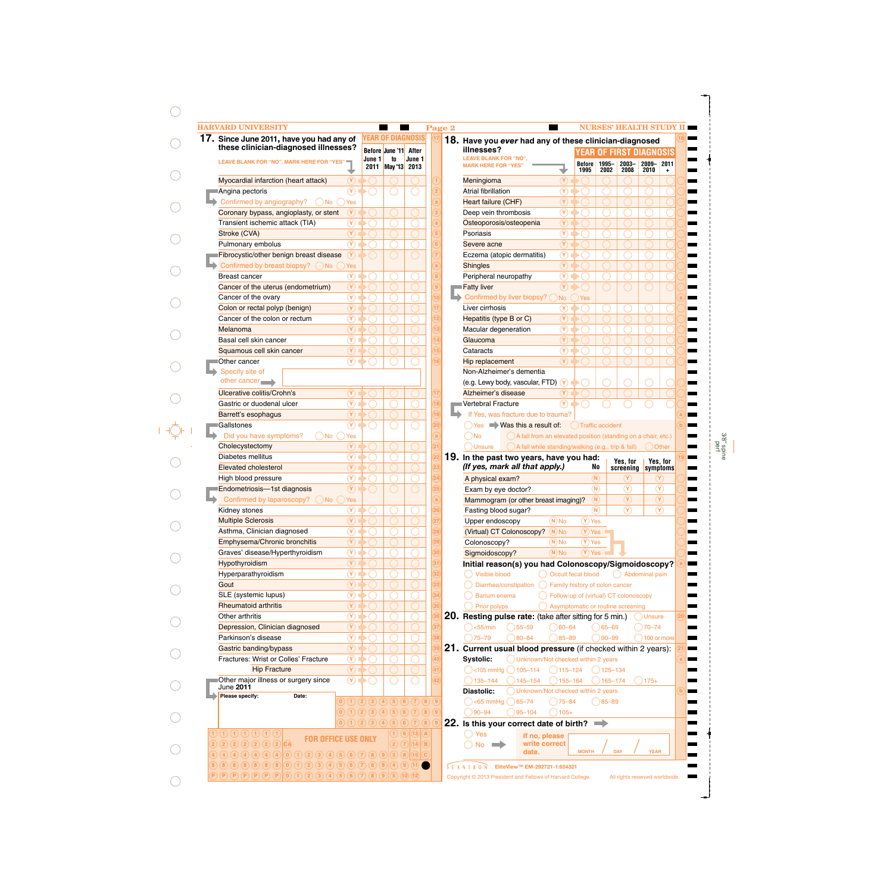|      | 17. Since June 2011, have you had any of                                                  |        | <b>YEAR OF DIAGNOSIS</b>                                    |                                                             |                         | 18. Have you ever had any of these clinician-diagnosed                             |                                                       |
|------|-------------------------------------------------------------------------------------------|--------|-------------------------------------------------------------|-------------------------------------------------------------|-------------------------|------------------------------------------------------------------------------------|-------------------------------------------------------|
|      | these clinician-diagnosed illnesses?                                                      |        | Before June '11 After                                       |                                                             |                         | illnesses?<br><b>YEAR OF FIRST DIAGNOSIS</b>                                       |                                                       |
|      | <b>LEAVE BLANK FOR "NO", MARK HERE FOR "YES"</b>                                          | June 1 | to<br>2011 May '13 2013                                     | June 1                                                      |                         | <b>LEAVE BLANK FOR "NO".</b><br><b>Before</b> 1995-<br><b>MARK HERE FOR "YES</b>   | 2009- 2011<br>$2003 -$                                |
|      | Myocardial infarction (heart attack)<br>$\circledcirc$                                    |        |                                                             |                                                             |                         | 1995<br>2002<br>$(\overline{\mathsf{Y}})$<br>Meningioma                            | 2008<br>2010                                          |
|      | $\circledcirc$<br>Angina pectoris                                                         |        |                                                             |                                                             | $\overline{2}$          | $\circledcirc$<br><b>Atrial fibrillation</b>                                       |                                                       |
|      |                                                                                           |        |                                                             |                                                             |                         |                                                                                    |                                                       |
|      | Confirmed by angiography?<br>$($ )No $($ )Yes                                             |        |                                                             |                                                             | $\mathbf{a}$            | $\circledcirc$<br><b>Heart failure (CHF)</b>                                       |                                                       |
|      | $\circledcirc$<br>Coronary bypass, angioplasty, or stent                                  |        |                                                             |                                                             | $\overline{\mathbf{3}}$ | $\circledR$<br>Deep vein thrombosis                                                |                                                       |
|      | $^\circledR$<br>Transient ischemic attack (TIA)                                           |        |                                                             |                                                             |                         | $\circledcirc$<br>Osteoporosis/osteopenia                                          |                                                       |
|      | $(\widehat{\textbf{Y}})$<br>Stroke (CVA)                                                  |        |                                                             |                                                             | $\overline{5}$          | $\circledcirc$<br>Psoriasis                                                        |                                                       |
|      | $\circledcirc$<br>Pulmonary embolus                                                       |        |                                                             |                                                             | 6                       | $\circledcirc$<br>Severe acne                                                      |                                                       |
|      | $\circledR$<br>Fibrocystic/other benign breast disease                                    |        |                                                             |                                                             |                         | $\circledcirc$<br>Eczema (atopic dermatitis)                                       |                                                       |
|      | Confirmed by breast biopsy? ◯ No (<br>Yes                                                 |        |                                                             |                                                             | $\mathbf{a}$            | $\circled{r}$<br><b>Shingles</b>                                                   |                                                       |
|      | $^\circledR$<br><b>Breast cancer</b>                                                      |        |                                                             |                                                             | $\boxed{8}$             | $\circledcirc$<br>Peripheral neuropathy                                            |                                                       |
|      | $\circled{r}$<br>Cancer of the uterus (endometrium)                                       |        |                                                             |                                                             | $\boxed{9}$             | Fatty liver<br>$\alpha$                                                            |                                                       |
|      | $\circledcirc$<br>Cancer of the ovary                                                     |        |                                                             |                                                             | $\overline{10}$         | Confirmed by liver biopsy? (<br>) No<br>Yes                                        |                                                       |
|      | $\left(\widehat{\mathbf{Y}}\right)$<br>Colon or rectal polyp (benign)                     |        |                                                             |                                                             | $\widehat{\mathbf{H}}$  | Liver cirrhosis<br>$\circledR$                                                     |                                                       |
|      | $\circledcirc$<br>Cancer of the colon or rectum                                           |        |                                                             |                                                             | $\widehat{12}$          | $\circled{r}$<br>Hepatitis (type B or C)                                           |                                                       |
|      | $(\widehat{\textbf{Y}})$<br>Melanoma                                                      |        |                                                             |                                                             | $\widehat{13)}$         | $\circledcirc$<br>Macular degeneration                                             |                                                       |
|      | $\circledR$<br>Basal cell skin cancer                                                     |        |                                                             |                                                             | $\widehat{14}$          | $\circled{r}$<br>Glaucoma                                                          |                                                       |
|      | $\circledR$                                                                               |        |                                                             |                                                             | $\overline{15}$         | $\circledcirc$<br>Cataracts                                                        |                                                       |
|      | Squamous cell skin cancer<br>$\circledcirc$                                               |        |                                                             |                                                             |                         |                                                                                    |                                                       |
|      | Other cancer                                                                              |        |                                                             |                                                             | $\overline{16}$         | $\circled{r}$<br>Hip replacement                                                   |                                                       |
|      | Specify site of                                                                           |        |                                                             |                                                             |                         | Non-Alzheimer's dementia                                                           |                                                       |
|      | other cancer                                                                              |        |                                                             |                                                             |                         | (e.g. Lewy body, vascular, FTD) (Y)                                                |                                                       |
|      | <b>Ulcerative colitis/Crohn's</b><br>$(\mathsf{Y})$                                       |        |                                                             |                                                             | 17                      | $(\lambda)$<br>Alzheimer's disease                                                 |                                                       |
|      | $\widehat{\mathsf{Y}}$<br>Gastric or duodenal ulcer                                       |        |                                                             |                                                             | $\overline{18}$         | $\circledcirc$<br>Vertebral Fracture                                               |                                                       |
|      | $(\widehat{\textbf{Y}})$<br>Barrett's esophagus                                           |        |                                                             |                                                             | $\overline{19}$         | If Yes, was fracture due to trauma?                                                |                                                       |
|      | $\circledcirc$<br>Gallstones                                                              |        |                                                             |                                                             | $\overline{20}$         | $\bigcirc$ Yes $\bigcirc$ Was this a result of:<br>◯ Traffic accident              |                                                       |
|      | Did you have symptoms?<br>( )No<br>) Yes                                                  |        |                                                             |                                                             | a                       | A fall from an elevated position (standing on a chair, etc.)<br>$\bigcap$ No       |                                                       |
|      | $(\lambda)$<br>Cholecystectomy                                                            |        |                                                             |                                                             | 21)                     | A fall while standing/walking (e.g., trip & fall)<br>Dunsure (                     | Other<br><sup>.</sup>                                 |
|      | $\overline{\mathbf{Y}}$<br>Diabetes mellitus                                              |        |                                                             |                                                             | 22                      | 19. In the past two years, have you had:                                           |                                                       |
|      | $(\widehat{\textbf{Y}})$<br><b>Elevated cholesterol</b>                                   |        |                                                             |                                                             | $\overline{23)}$        | (If yes, mark all that apply.)<br>No                                               | Yes, for<br>Yes, for<br>screening<br>symptoms         |
|      | $\overline{\mathbf{r}}$<br>High blood pressure                                            |        |                                                             |                                                             | $\overline{24}$         | (N)<br>A physical exam?                                                            | $(\mathbf{Y})$<br>$\left( \mathbf{Y}\right)$          |
|      | $\overline{(\gamma)}$<br>Endometriosis-1st diagnosis                                      |        |                                                             |                                                             | 25                      | $\binom{N}{k}$<br>Exam by eye doctor?                                              | $\circledR$<br>$\circledR$                            |
|      | Confirmed by laparoscopy? ◯ No ◯ Yes                                                      |        |                                                             |                                                             | $\alpha$                | (N)<br>Mammogram (or other breast imaging)?                                        | $\circledcirc$<br>$\circledR$                         |
|      | $\circledR$                                                                               |        |                                                             |                                                             |                         | $^{\circledR}$                                                                     | $\mathcal{P}$<br>$\left( \widehat{\mathbf{Y}}\right)$ |
|      | Kidney stones                                                                             |        |                                                             |                                                             |                         | Fasting blood sugar?                                                               |                                                       |
|      | $\circled{r}$<br><b>Multiple Sclerosis</b>                                                |        |                                                             |                                                             | 27)                     | $(\overline{Y})$ Yes<br>$(N)$ No<br>Upper endoscopy                                |                                                       |
|      | $\overline{\circ}$<br>Asthma, Clinician diagnosed                                         |        |                                                             |                                                             | $\overline{28}$         | $(Y)$ Yes<br>(Virtual) CT Colonoscopy?<br>$(N)$ No                                 |                                                       |
|      | $\circled{r}$<br>Emphysema/Chronic bronchitis                                             |        |                                                             |                                                             | 29                      | $(\overline{Y})$ Yes<br>Colonoscopy?<br>$(N)$ No                                   |                                                       |
|      | $\overline{\circ}$<br>Graves' disease/Hyperthyroidism                                     |        |                                                             |                                                             | 30)                     | $(Y)$ Yes<br>$(N)$ No<br>Sigmoidoscopy?                                            |                                                       |
|      | $\circled{r}$<br>Hypothyroidism                                                           |        |                                                             |                                                             | $\overline{31}$         | Initial reason(s) you had Colonoscopy/Sigmoidoscopy?                               |                                                       |
|      | $\circledcirc$<br>Hyperparathyroidism                                                     |        |                                                             |                                                             | 32                      | O Occult fecal blood<br>() Visible blood                                           | () Abdominal pain                                     |
| Gout | $\circledcirc$                                                                            |        |                                                             |                                                             | 33)                     | ◯ Diarrhea/constipation<br>◯ Family history of colon cancer                        |                                                       |
|      | $\circledcirc$<br>SLE (systemic lupus)                                                    |        |                                                             |                                                             | $\overline{34}$         | ◯ Follow-up of (virtual) CT colonoscopy<br>Barium enema                            |                                                       |
|      | $\circled{r}$<br><b>Rheumatoid arthritis</b>                                              |        |                                                             |                                                             |                         | ◯ Prior polyps<br>Asymptomatic or routine screening                                |                                                       |
|      |                                                                                           |        |                                                             |                                                             |                         | <b>20. Resting pulse rate:</b> (take after sitting for 5 min.)                     | Dunsure                                               |
|      | Other arthritis                                                                           |        |                                                             |                                                             | $\mathsf{37})$          |                                                                                    |                                                       |
|      | $\overline{\circledcirc}$                                                                 |        |                                                             |                                                             |                         |                                                                                    |                                                       |
|      | $\circledcirc$<br>Depression, Clinician diagnosed                                         |        |                                                             |                                                             |                         | $\bigcirc$ <55/min<br>$\bigcirc$ 55–59<br>$\bigcirc$ 60–64<br>$( )65 - 69$         | $70 - 74$                                             |
|      | $\circledcirc$<br>Parkinson's disease                                                     |        |                                                             |                                                             | $\overline{38}$         | $\big)80 - 84$<br>$\bigcirc$ 85-89<br>$75 - 79$<br>$)90 - 99$                      |                                                       |
|      | $\circled{r}$<br>Gastric banding/bypass                                                   |        |                                                             |                                                             | 39                      | 21. Current usual blood pressure (if checked within 2 years):                      |                                                       |
|      | $\overline{\circledcirc}$<br>Fractures: Wrist or Colles' Fracture                         |        |                                                             |                                                             | (40)                    | Unknown/Not checked within 2 years<br>Systolic:                                    |                                                       |
|      | $\circled{r}$<br><b>Hip Fracture</b>                                                      |        |                                                             |                                                             | $_{41}$                 | $\bigcirc$ <105 mmHg $\bigcirc$ 105-114<br>$\bigcirc$ 115-124<br>$()125 - 134$     |                                                       |
|      | $\overline{(\mathbf{Y})}$<br>Other major illness or surgery since                         |        |                                                             |                                                             | 42                      | $\bigcirc$ 145-154<br>$\bigcap$ 155-164<br>$2135 - 144$<br>$( )165 - 174$          | $)175+$                                               |
|      | June 2011                                                                                 |        |                                                             |                                                             |                         | Diastolic:<br>Unknown/Not checked within 2 years                                   |                                                       |
|      | Please specify:<br>Date:                                                                  |        | $(0)$ $(1)$ $(2)$ $(3)$ $(4)$ $(5)$ $(6)$ $(7)$ $(8)$ $(9)$ |                                                             |                         | $\bigcirc$ <65 mmHg $\bigcirc$ 65-74<br>$O$ 75–84<br>$\bigcirc$ 85-89              |                                                       |
|      |                                                                                           |        | $(0)$ (1) (2) (3) (4) (5) (6) (7)                           |                                                             | $\circled{8}$ $\circ$   | $\bigcirc$ 90-94<br>$\bigcirc$ 95-104<br>$\big)$ 105+                              |                                                       |
|      |                                                                                           |        | (0)(1)(2)(3)(4)(5)(6)(7)                                    | (8)                                                         |                         | 22. Is this your correct date of birth? $\implies$                                 |                                                       |
|      | $\bigcap$ $\bigcap$ $\bigcap$ $\bigcap$ $\bigcap$ $\bigcap$ $\bigcap$ $\bigcap$ $\bigcap$ |        |                                                             | $(1)$ (6) (13) (A)                                          |                         |                                                                                    | $\bigcirc$ 100 or more                                |
|      | <b>FOR OFFICE USE ONLY</b><br>2) 2) 2) 2) 2) 2) 2) 2) 2)                                  |        | $\Omega(7)$                                                 | $\left  \widehat{\mathbf{14}} \right  \widehat{\mathbf{B}}$ |                         | $\bigcirc$ Yes<br>If no, please<br>write correct<br>$\bigcirc$ No<br>$\rightarrow$ |                                                       |

 $\bigcirc$ 

3/8" spine perf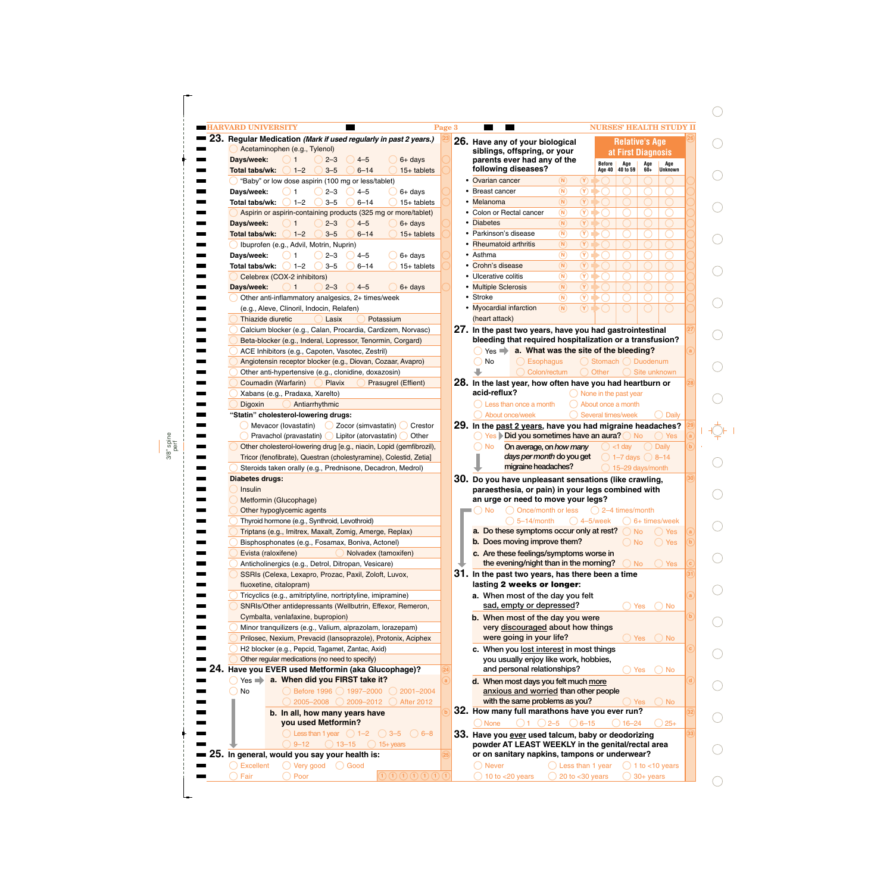| 23. Regular Medication (Mark if used regularly in past 2 years.)<br>Acetaminophen (e.g., Tylenol)<br>Days/week:<br>$\rightarrow$ 1<br>$4 - 5$<br>$6+$ days<br>$2 - 3$<br>$1 - 2$<br>Total tabs/wk:<br>$3 - 5$<br>$6 - 14$<br>$15+$ tablets<br>"Baby" or low dose aspirin (100 mg or less/tablet)<br>$2 - 3$<br>Days/week:<br>$4 - 5$<br>$6+$ days<br>-1<br>$1 - 2$<br>$3 - 5$<br>$6 - 14$<br>$15+$ tablets<br>Total tabs/wk:<br>Aspirin or aspirin-containing products (325 mg or more/tablet)<br>$4 - 5$<br>Days/week:<br>$2 - 3$<br>$\mathbf{1}$<br>$6+$ davs<br>$1 - 2$<br>$6 - 14$<br>Total tabs/wk:<br>$3 - 5$<br>$15+$ tablets<br>Ibuprofen (e.g., Advil, Motrin, Nuprin)<br>Days/week:<br>$2 - 3$<br>$4 - 5$<br>$6+$ days<br>-1<br>$1 - 2$<br>$3 - 5$<br>$6 - 14$<br>$15+$ tablets<br>Total tabs/wk:<br>Celebrex (COX-2 inhibitors)<br>$\Box$ 1<br>Days/week:<br>$2 - 3$<br>$4 - 5$<br>$6+$ days<br>Other anti-inflammatory analgesics, 2+ times/week<br>(e.g., Aleve, Clinoril, Indocin, Relafen)<br>Potassium<br>Thiazide diuretic<br>Lasix<br>Calcium blocker (e.g., Calan, Procardia, Cardizem, Norvasc)<br>Beta-blocker (e.g., Inderal, Lopressor, Tenormin, Corgard)<br>ACE Inhibitors (e.g., Capoten, Vasotec, Zestril)<br>Angiotensin receptor blocker (e.g., Diovan, Cozaar, Avapro)<br>Other anti-hypertensive (e.g., clonidine, doxazosin)<br>Coumadin (Warfarin)<br>Plavix<br>Prasugrel (Effient)<br>Xabans (e.g., Pradaxa, Xarelto)<br>Antiarrhythmic<br>Digoxin<br>"Statin" cholesterol-lowering drugs:<br>Mevacor (lovastatin) 2 Zocor (simvastatin)<br>Crestor<br>Pravachol (pravastatin) U Lipitor (atorvastatin)<br>Other<br>Other cholesterol-lowering drug [e.g., niacin, Lopid (gemfibrozil),<br>Tricor (fenofibrate), Questran (cholestyramine), Colestid, Zetia]<br>Steroids taken orally (e.g., Prednisone, Decadron, Medrol)<br>Diabetes drugs:<br>Insulin<br>Metformin (Glucophage)<br>Other hypoglycemic agents | 26. Have any of your biological<br>siblings, offspring, or your<br>parents ever had any of the<br>following diseases?<br>Ovarian cancer<br>(N)<br>$\binom{N}{k}$<br><b>Breast cancer</b><br>$\binom{N}{k}$<br>• Melanoma<br>$\binom{N}{k}$<br>• Colon or Rectal cancer<br>$\binom{N}{k}$<br><b>Diabetes</b><br>• Parkinson's disease<br>$\binom{N}{k}$<br>$\binom{N}{k}$<br><b>Rheumatoid arthritis</b><br>$\binom{N}{k}$<br>• Asthma<br>$\binom{N}{k}$<br>• Crohn's disease<br>• Ulcerative colitis<br>$\binom{N}{k}$<br>$\binom{N}{k}$<br>• Multiple Sclerosis<br>$\binom{N}{k}$<br>• Stroke<br>• Myocardial infarction<br>$\circledR$<br>(heart attack)<br>27. In the past two years, have you had gastrointestinal<br>bleeding that required hospitalization or a transfusion?<br>a. What was the site of the bleeding?<br>$Yes$ $\Rightarrow$<br>No.<br><b>Esophagus</b><br>щ<br>Colon/rectum<br>28. In the last year, how often have you had heartburn or<br>acid-reflux?<br>$\bigcap$ Less than once a month<br>About once/week<br>29. In the past 2 years, have you had migraine headaches?<br>◯ Yes > Did you sometimes have an aura? ◯ No<br><b>No</b><br>On average, on how many | Before<br>Age<br>Age 40<br>40 to 59<br>$\circled{r}$<br>$\circledR$<br>$\circledcirc$<br>$\circledcirc$<br>$\circledcirc$<br>$\circledcirc$<br>$\widehat{Y}$<br>$\circledR$<br>$\circledcirc$<br>$\circled{r}$<br>$\circled{r}$<br>$\circledcirc$<br>$\circled{r}$<br>◯ Stomach ◯ Duodenum<br>Other<br>$\bigcirc$ None in the past year<br>About once a month<br>Several times/week<br>$<$ 1 day | <b>Relative's Age</b><br>at First Diagnosis<br>Age<br>60+ | Age<br><b>Unknown</b><br>Site unknown<br>Daily<br>) Yes |
|---------------------------------------------------------------------------------------------------------------------------------------------------------------------------------------------------------------------------------------------------------------------------------------------------------------------------------------------------------------------------------------------------------------------------------------------------------------------------------------------------------------------------------------------------------------------------------------------------------------------------------------------------------------------------------------------------------------------------------------------------------------------------------------------------------------------------------------------------------------------------------------------------------------------------------------------------------------------------------------------------------------------------------------------------------------------------------------------------------------------------------------------------------------------------------------------------------------------------------------------------------------------------------------------------------------------------------------------------------------------------------------------------------------------------------------------------------------------------------------------------------------------------------------------------------------------------------------------------------------------------------------------------------------------------------------------------------------------------------------------------------------------------------------------------------------------------------------------------------------------------------------------------------------------------------------------------|---------------------------------------------------------------------------------------------------------------------------------------------------------------------------------------------------------------------------------------------------------------------------------------------------------------------------------------------------------------------------------------------------------------------------------------------------------------------------------------------------------------------------------------------------------------------------------------------------------------------------------------------------------------------------------------------------------------------------------------------------------------------------------------------------------------------------------------------------------------------------------------------------------------------------------------------------------------------------------------------------------------------------------------------------------------------------------------------------------------------------------------------------------------------------------------------|--------------------------------------------------------------------------------------------------------------------------------------------------------------------------------------------------------------------------------------------------------------------------------------------------------------------------------------------------------------------------------------------------|-----------------------------------------------------------|---------------------------------------------------------|
|                                                                                                                                                                                                                                                                                                                                                                                                                                                                                                                                                                                                                                                                                                                                                                                                                                                                                                                                                                                                                                                                                                                                                                                                                                                                                                                                                                                                                                                                                                                                                                                                                                                                                                                                                                                                                                                                                                                                                   |                                                                                                                                                                                                                                                                                                                                                                                                                                                                                                                                                                                                                                                                                                                                                                                                                                                                                                                                                                                                                                                                                                                                                                                             |                                                                                                                                                                                                                                                                                                                                                                                                  |                                                           |                                                         |
|                                                                                                                                                                                                                                                                                                                                                                                                                                                                                                                                                                                                                                                                                                                                                                                                                                                                                                                                                                                                                                                                                                                                                                                                                                                                                                                                                                                                                                                                                                                                                                                                                                                                                                                                                                                                                                                                                                                                                   |                                                                                                                                                                                                                                                                                                                                                                                                                                                                                                                                                                                                                                                                                                                                                                                                                                                                                                                                                                                                                                                                                                                                                                                             |                                                                                                                                                                                                                                                                                                                                                                                                  |                                                           |                                                         |
|                                                                                                                                                                                                                                                                                                                                                                                                                                                                                                                                                                                                                                                                                                                                                                                                                                                                                                                                                                                                                                                                                                                                                                                                                                                                                                                                                                                                                                                                                                                                                                                                                                                                                                                                                                                                                                                                                                                                                   |                                                                                                                                                                                                                                                                                                                                                                                                                                                                                                                                                                                                                                                                                                                                                                                                                                                                                                                                                                                                                                                                                                                                                                                             |                                                                                                                                                                                                                                                                                                                                                                                                  |                                                           |                                                         |
|                                                                                                                                                                                                                                                                                                                                                                                                                                                                                                                                                                                                                                                                                                                                                                                                                                                                                                                                                                                                                                                                                                                                                                                                                                                                                                                                                                                                                                                                                                                                                                                                                                                                                                                                                                                                                                                                                                                                                   |                                                                                                                                                                                                                                                                                                                                                                                                                                                                                                                                                                                                                                                                                                                                                                                                                                                                                                                                                                                                                                                                                                                                                                                             |                                                                                                                                                                                                                                                                                                                                                                                                  |                                                           |                                                         |
|                                                                                                                                                                                                                                                                                                                                                                                                                                                                                                                                                                                                                                                                                                                                                                                                                                                                                                                                                                                                                                                                                                                                                                                                                                                                                                                                                                                                                                                                                                                                                                                                                                                                                                                                                                                                                                                                                                                                                   |                                                                                                                                                                                                                                                                                                                                                                                                                                                                                                                                                                                                                                                                                                                                                                                                                                                                                                                                                                                                                                                                                                                                                                                             |                                                                                                                                                                                                                                                                                                                                                                                                  |                                                           |                                                         |
|                                                                                                                                                                                                                                                                                                                                                                                                                                                                                                                                                                                                                                                                                                                                                                                                                                                                                                                                                                                                                                                                                                                                                                                                                                                                                                                                                                                                                                                                                                                                                                                                                                                                                                                                                                                                                                                                                                                                                   |                                                                                                                                                                                                                                                                                                                                                                                                                                                                                                                                                                                                                                                                                                                                                                                                                                                                                                                                                                                                                                                                                                                                                                                             |                                                                                                                                                                                                                                                                                                                                                                                                  |                                                           |                                                         |
|                                                                                                                                                                                                                                                                                                                                                                                                                                                                                                                                                                                                                                                                                                                                                                                                                                                                                                                                                                                                                                                                                                                                                                                                                                                                                                                                                                                                                                                                                                                                                                                                                                                                                                                                                                                                                                                                                                                                                   |                                                                                                                                                                                                                                                                                                                                                                                                                                                                                                                                                                                                                                                                                                                                                                                                                                                                                                                                                                                                                                                                                                                                                                                             |                                                                                                                                                                                                                                                                                                                                                                                                  |                                                           |                                                         |
|                                                                                                                                                                                                                                                                                                                                                                                                                                                                                                                                                                                                                                                                                                                                                                                                                                                                                                                                                                                                                                                                                                                                                                                                                                                                                                                                                                                                                                                                                                                                                                                                                                                                                                                                                                                                                                                                                                                                                   |                                                                                                                                                                                                                                                                                                                                                                                                                                                                                                                                                                                                                                                                                                                                                                                                                                                                                                                                                                                                                                                                                                                                                                                             |                                                                                                                                                                                                                                                                                                                                                                                                  |                                                           |                                                         |
|                                                                                                                                                                                                                                                                                                                                                                                                                                                                                                                                                                                                                                                                                                                                                                                                                                                                                                                                                                                                                                                                                                                                                                                                                                                                                                                                                                                                                                                                                                                                                                                                                                                                                                                                                                                                                                                                                                                                                   |                                                                                                                                                                                                                                                                                                                                                                                                                                                                                                                                                                                                                                                                                                                                                                                                                                                                                                                                                                                                                                                                                                                                                                                             |                                                                                                                                                                                                                                                                                                                                                                                                  |                                                           |                                                         |
|                                                                                                                                                                                                                                                                                                                                                                                                                                                                                                                                                                                                                                                                                                                                                                                                                                                                                                                                                                                                                                                                                                                                                                                                                                                                                                                                                                                                                                                                                                                                                                                                                                                                                                                                                                                                                                                                                                                                                   |                                                                                                                                                                                                                                                                                                                                                                                                                                                                                                                                                                                                                                                                                                                                                                                                                                                                                                                                                                                                                                                                                                                                                                                             |                                                                                                                                                                                                                                                                                                                                                                                                  |                                                           |                                                         |
|                                                                                                                                                                                                                                                                                                                                                                                                                                                                                                                                                                                                                                                                                                                                                                                                                                                                                                                                                                                                                                                                                                                                                                                                                                                                                                                                                                                                                                                                                                                                                                                                                                                                                                                                                                                                                                                                                                                                                   |                                                                                                                                                                                                                                                                                                                                                                                                                                                                                                                                                                                                                                                                                                                                                                                                                                                                                                                                                                                                                                                                                                                                                                                             |                                                                                                                                                                                                                                                                                                                                                                                                  |                                                           |                                                         |
|                                                                                                                                                                                                                                                                                                                                                                                                                                                                                                                                                                                                                                                                                                                                                                                                                                                                                                                                                                                                                                                                                                                                                                                                                                                                                                                                                                                                                                                                                                                                                                                                                                                                                                                                                                                                                                                                                                                                                   |                                                                                                                                                                                                                                                                                                                                                                                                                                                                                                                                                                                                                                                                                                                                                                                                                                                                                                                                                                                                                                                                                                                                                                                             |                                                                                                                                                                                                                                                                                                                                                                                                  |                                                           |                                                         |
|                                                                                                                                                                                                                                                                                                                                                                                                                                                                                                                                                                                                                                                                                                                                                                                                                                                                                                                                                                                                                                                                                                                                                                                                                                                                                                                                                                                                                                                                                                                                                                                                                                                                                                                                                                                                                                                                                                                                                   |                                                                                                                                                                                                                                                                                                                                                                                                                                                                                                                                                                                                                                                                                                                                                                                                                                                                                                                                                                                                                                                                                                                                                                                             |                                                                                                                                                                                                                                                                                                                                                                                                  |                                                           |                                                         |
|                                                                                                                                                                                                                                                                                                                                                                                                                                                                                                                                                                                                                                                                                                                                                                                                                                                                                                                                                                                                                                                                                                                                                                                                                                                                                                                                                                                                                                                                                                                                                                                                                                                                                                                                                                                                                                                                                                                                                   |                                                                                                                                                                                                                                                                                                                                                                                                                                                                                                                                                                                                                                                                                                                                                                                                                                                                                                                                                                                                                                                                                                                                                                                             |                                                                                                                                                                                                                                                                                                                                                                                                  |                                                           |                                                         |
|                                                                                                                                                                                                                                                                                                                                                                                                                                                                                                                                                                                                                                                                                                                                                                                                                                                                                                                                                                                                                                                                                                                                                                                                                                                                                                                                                                                                                                                                                                                                                                                                                                                                                                                                                                                                                                                                                                                                                   |                                                                                                                                                                                                                                                                                                                                                                                                                                                                                                                                                                                                                                                                                                                                                                                                                                                                                                                                                                                                                                                                                                                                                                                             |                                                                                                                                                                                                                                                                                                                                                                                                  |                                                           |                                                         |
|                                                                                                                                                                                                                                                                                                                                                                                                                                                                                                                                                                                                                                                                                                                                                                                                                                                                                                                                                                                                                                                                                                                                                                                                                                                                                                                                                                                                                                                                                                                                                                                                                                                                                                                                                                                                                                                                                                                                                   |                                                                                                                                                                                                                                                                                                                                                                                                                                                                                                                                                                                                                                                                                                                                                                                                                                                                                                                                                                                                                                                                                                                                                                                             |                                                                                                                                                                                                                                                                                                                                                                                                  |                                                           |                                                         |
|                                                                                                                                                                                                                                                                                                                                                                                                                                                                                                                                                                                                                                                                                                                                                                                                                                                                                                                                                                                                                                                                                                                                                                                                                                                                                                                                                                                                                                                                                                                                                                                                                                                                                                                                                                                                                                                                                                                                                   |                                                                                                                                                                                                                                                                                                                                                                                                                                                                                                                                                                                                                                                                                                                                                                                                                                                                                                                                                                                                                                                                                                                                                                                             |                                                                                                                                                                                                                                                                                                                                                                                                  |                                                           |                                                         |
|                                                                                                                                                                                                                                                                                                                                                                                                                                                                                                                                                                                                                                                                                                                                                                                                                                                                                                                                                                                                                                                                                                                                                                                                                                                                                                                                                                                                                                                                                                                                                                                                                                                                                                                                                                                                                                                                                                                                                   |                                                                                                                                                                                                                                                                                                                                                                                                                                                                                                                                                                                                                                                                                                                                                                                                                                                                                                                                                                                                                                                                                                                                                                                             |                                                                                                                                                                                                                                                                                                                                                                                                  |                                                           |                                                         |
|                                                                                                                                                                                                                                                                                                                                                                                                                                                                                                                                                                                                                                                                                                                                                                                                                                                                                                                                                                                                                                                                                                                                                                                                                                                                                                                                                                                                                                                                                                                                                                                                                                                                                                                                                                                                                                                                                                                                                   |                                                                                                                                                                                                                                                                                                                                                                                                                                                                                                                                                                                                                                                                                                                                                                                                                                                                                                                                                                                                                                                                                                                                                                                             |                                                                                                                                                                                                                                                                                                                                                                                                  |                                                           |                                                         |
|                                                                                                                                                                                                                                                                                                                                                                                                                                                                                                                                                                                                                                                                                                                                                                                                                                                                                                                                                                                                                                                                                                                                                                                                                                                                                                                                                                                                                                                                                                                                                                                                                                                                                                                                                                                                                                                                                                                                                   |                                                                                                                                                                                                                                                                                                                                                                                                                                                                                                                                                                                                                                                                                                                                                                                                                                                                                                                                                                                                                                                                                                                                                                                             |                                                                                                                                                                                                                                                                                                                                                                                                  |                                                           |                                                         |
|                                                                                                                                                                                                                                                                                                                                                                                                                                                                                                                                                                                                                                                                                                                                                                                                                                                                                                                                                                                                                                                                                                                                                                                                                                                                                                                                                                                                                                                                                                                                                                                                                                                                                                                                                                                                                                                                                                                                                   |                                                                                                                                                                                                                                                                                                                                                                                                                                                                                                                                                                                                                                                                                                                                                                                                                                                                                                                                                                                                                                                                                                                                                                                             |                                                                                                                                                                                                                                                                                                                                                                                                  |                                                           |                                                         |
|                                                                                                                                                                                                                                                                                                                                                                                                                                                                                                                                                                                                                                                                                                                                                                                                                                                                                                                                                                                                                                                                                                                                                                                                                                                                                                                                                                                                                                                                                                                                                                                                                                                                                                                                                                                                                                                                                                                                                   |                                                                                                                                                                                                                                                                                                                                                                                                                                                                                                                                                                                                                                                                                                                                                                                                                                                                                                                                                                                                                                                                                                                                                                                             |                                                                                                                                                                                                                                                                                                                                                                                                  |                                                           |                                                         |
|                                                                                                                                                                                                                                                                                                                                                                                                                                                                                                                                                                                                                                                                                                                                                                                                                                                                                                                                                                                                                                                                                                                                                                                                                                                                                                                                                                                                                                                                                                                                                                                                                                                                                                                                                                                                                                                                                                                                                   |                                                                                                                                                                                                                                                                                                                                                                                                                                                                                                                                                                                                                                                                                                                                                                                                                                                                                                                                                                                                                                                                                                                                                                                             |                                                                                                                                                                                                                                                                                                                                                                                                  |                                                           |                                                         |
|                                                                                                                                                                                                                                                                                                                                                                                                                                                                                                                                                                                                                                                                                                                                                                                                                                                                                                                                                                                                                                                                                                                                                                                                                                                                                                                                                                                                                                                                                                                                                                                                                                                                                                                                                                                                                                                                                                                                                   |                                                                                                                                                                                                                                                                                                                                                                                                                                                                                                                                                                                                                                                                                                                                                                                                                                                                                                                                                                                                                                                                                                                                                                                             |                                                                                                                                                                                                                                                                                                                                                                                                  |                                                           |                                                         |
|                                                                                                                                                                                                                                                                                                                                                                                                                                                                                                                                                                                                                                                                                                                                                                                                                                                                                                                                                                                                                                                                                                                                                                                                                                                                                                                                                                                                                                                                                                                                                                                                                                                                                                                                                                                                                                                                                                                                                   |                                                                                                                                                                                                                                                                                                                                                                                                                                                                                                                                                                                                                                                                                                                                                                                                                                                                                                                                                                                                                                                                                                                                                                                             |                                                                                                                                                                                                                                                                                                                                                                                                  |                                                           |                                                         |
|                                                                                                                                                                                                                                                                                                                                                                                                                                                                                                                                                                                                                                                                                                                                                                                                                                                                                                                                                                                                                                                                                                                                                                                                                                                                                                                                                                                                                                                                                                                                                                                                                                                                                                                                                                                                                                                                                                                                                   |                                                                                                                                                                                                                                                                                                                                                                                                                                                                                                                                                                                                                                                                                                                                                                                                                                                                                                                                                                                                                                                                                                                                                                                             |                                                                                                                                                                                                                                                                                                                                                                                                  |                                                           |                                                         |
|                                                                                                                                                                                                                                                                                                                                                                                                                                                                                                                                                                                                                                                                                                                                                                                                                                                                                                                                                                                                                                                                                                                                                                                                                                                                                                                                                                                                                                                                                                                                                                                                                                                                                                                                                                                                                                                                                                                                                   |                                                                                                                                                                                                                                                                                                                                                                                                                                                                                                                                                                                                                                                                                                                                                                                                                                                                                                                                                                                                                                                                                                                                                                                             |                                                                                                                                                                                                                                                                                                                                                                                                  |                                                           |                                                         |
|                                                                                                                                                                                                                                                                                                                                                                                                                                                                                                                                                                                                                                                                                                                                                                                                                                                                                                                                                                                                                                                                                                                                                                                                                                                                                                                                                                                                                                                                                                                                                                                                                                                                                                                                                                                                                                                                                                                                                   |                                                                                                                                                                                                                                                                                                                                                                                                                                                                                                                                                                                                                                                                                                                                                                                                                                                                                                                                                                                                                                                                                                                                                                                             |                                                                                                                                                                                                                                                                                                                                                                                                  |                                                           |                                                         |
|                                                                                                                                                                                                                                                                                                                                                                                                                                                                                                                                                                                                                                                                                                                                                                                                                                                                                                                                                                                                                                                                                                                                                                                                                                                                                                                                                                                                                                                                                                                                                                                                                                                                                                                                                                                                                                                                                                                                                   |                                                                                                                                                                                                                                                                                                                                                                                                                                                                                                                                                                                                                                                                                                                                                                                                                                                                                                                                                                                                                                                                                                                                                                                             |                                                                                                                                                                                                                                                                                                                                                                                                  |                                                           |                                                         |
|                                                                                                                                                                                                                                                                                                                                                                                                                                                                                                                                                                                                                                                                                                                                                                                                                                                                                                                                                                                                                                                                                                                                                                                                                                                                                                                                                                                                                                                                                                                                                                                                                                                                                                                                                                                                                                                                                                                                                   |                                                                                                                                                                                                                                                                                                                                                                                                                                                                                                                                                                                                                                                                                                                                                                                                                                                                                                                                                                                                                                                                                                                                                                                             |                                                                                                                                                                                                                                                                                                                                                                                                  |                                                           |                                                         |
|                                                                                                                                                                                                                                                                                                                                                                                                                                                                                                                                                                                                                                                                                                                                                                                                                                                                                                                                                                                                                                                                                                                                                                                                                                                                                                                                                                                                                                                                                                                                                                                                                                                                                                                                                                                                                                                                                                                                                   |                                                                                                                                                                                                                                                                                                                                                                                                                                                                                                                                                                                                                                                                                                                                                                                                                                                                                                                                                                                                                                                                                                                                                                                             |                                                                                                                                                                                                                                                                                                                                                                                                  |                                                           |                                                         |
|                                                                                                                                                                                                                                                                                                                                                                                                                                                                                                                                                                                                                                                                                                                                                                                                                                                                                                                                                                                                                                                                                                                                                                                                                                                                                                                                                                                                                                                                                                                                                                                                                                                                                                                                                                                                                                                                                                                                                   |                                                                                                                                                                                                                                                                                                                                                                                                                                                                                                                                                                                                                                                                                                                                                                                                                                                                                                                                                                                                                                                                                                                                                                                             |                                                                                                                                                                                                                                                                                                                                                                                                  |                                                           | <b>Daily</b>                                            |
|                                                                                                                                                                                                                                                                                                                                                                                                                                                                                                                                                                                                                                                                                                                                                                                                                                                                                                                                                                                                                                                                                                                                                                                                                                                                                                                                                                                                                                                                                                                                                                                                                                                                                                                                                                                                                                                                                                                                                   | days per month do you get                                                                                                                                                                                                                                                                                                                                                                                                                                                                                                                                                                                                                                                                                                                                                                                                                                                                                                                                                                                                                                                                                                                                                                   | $\bigcirc$ 1-7 days                                                                                                                                                                                                                                                                                                                                                                              | (                                                         | $8 - 14$                                                |
|                                                                                                                                                                                                                                                                                                                                                                                                                                                                                                                                                                                                                                                                                                                                                                                                                                                                                                                                                                                                                                                                                                                                                                                                                                                                                                                                                                                                                                                                                                                                                                                                                                                                                                                                                                                                                                                                                                                                                   | migraine headaches?                                                                                                                                                                                                                                                                                                                                                                                                                                                                                                                                                                                                                                                                                                                                                                                                                                                                                                                                                                                                                                                                                                                                                                         |                                                                                                                                                                                                                                                                                                                                                                                                  | 15-29 days/month                                          |                                                         |
|                                                                                                                                                                                                                                                                                                                                                                                                                                                                                                                                                                                                                                                                                                                                                                                                                                                                                                                                                                                                                                                                                                                                                                                                                                                                                                                                                                                                                                                                                                                                                                                                                                                                                                                                                                                                                                                                                                                                                   | 30. Do you have unpleasant sensations (like crawling,                                                                                                                                                                                                                                                                                                                                                                                                                                                                                                                                                                                                                                                                                                                                                                                                                                                                                                                                                                                                                                                                                                                                       |                                                                                                                                                                                                                                                                                                                                                                                                  |                                                           |                                                         |
|                                                                                                                                                                                                                                                                                                                                                                                                                                                                                                                                                                                                                                                                                                                                                                                                                                                                                                                                                                                                                                                                                                                                                                                                                                                                                                                                                                                                                                                                                                                                                                                                                                                                                                                                                                                                                                                                                                                                                   | paraesthesia, or pain) in your legs combined with                                                                                                                                                                                                                                                                                                                                                                                                                                                                                                                                                                                                                                                                                                                                                                                                                                                                                                                                                                                                                                                                                                                                           |                                                                                                                                                                                                                                                                                                                                                                                                  |                                                           |                                                         |
|                                                                                                                                                                                                                                                                                                                                                                                                                                                                                                                                                                                                                                                                                                                                                                                                                                                                                                                                                                                                                                                                                                                                                                                                                                                                                                                                                                                                                                                                                                                                                                                                                                                                                                                                                                                                                                                                                                                                                   | an urge or need to move your legs?                                                                                                                                                                                                                                                                                                                                                                                                                                                                                                                                                                                                                                                                                                                                                                                                                                                                                                                                                                                                                                                                                                                                                          |                                                                                                                                                                                                                                                                                                                                                                                                  |                                                           |                                                         |
|                                                                                                                                                                                                                                                                                                                                                                                                                                                                                                                                                                                                                                                                                                                                                                                                                                                                                                                                                                                                                                                                                                                                                                                                                                                                                                                                                                                                                                                                                                                                                                                                                                                                                                                                                                                                                                                                                                                                                   | No<br>Once/month or less                                                                                                                                                                                                                                                                                                                                                                                                                                                                                                                                                                                                                                                                                                                                                                                                                                                                                                                                                                                                                                                                                                                                                                    | 2-4 times/month                                                                                                                                                                                                                                                                                                                                                                                  |                                                           |                                                         |
| Thyroid hormone (e.g., Synthroid, Levothroid)                                                                                                                                                                                                                                                                                                                                                                                                                                                                                                                                                                                                                                                                                                                                                                                                                                                                                                                                                                                                                                                                                                                                                                                                                                                                                                                                                                                                                                                                                                                                                                                                                                                                                                                                                                                                                                                                                                     | $\big)$ 5-14/month                                                                                                                                                                                                                                                                                                                                                                                                                                                                                                                                                                                                                                                                                                                                                                                                                                                                                                                                                                                                                                                                                                                                                                          | $\bigcirc$ 4-5/week                                                                                                                                                                                                                                                                                                                                                                              | $()$ 6+ times/week                                        |                                                         |
| Triptans (e.g., Imitrex, Maxalt, Zomig, Amerge, Replax)                                                                                                                                                                                                                                                                                                                                                                                                                                                                                                                                                                                                                                                                                                                                                                                                                                                                                                                                                                                                                                                                                                                                                                                                                                                                                                                                                                                                                                                                                                                                                                                                                                                                                                                                                                                                                                                                                           | a. Do these symptoms occur only at rest?                                                                                                                                                                                                                                                                                                                                                                                                                                                                                                                                                                                                                                                                                                                                                                                                                                                                                                                                                                                                                                                                                                                                                    |                                                                                                                                                                                                                                                                                                                                                                                                  | <b>No</b>                                                 | ◯ Yes                                                   |
| Bisphosphonates (e.g., Fosamax, Boniva, Actonel)                                                                                                                                                                                                                                                                                                                                                                                                                                                                                                                                                                                                                                                                                                                                                                                                                                                                                                                                                                                                                                                                                                                                                                                                                                                                                                                                                                                                                                                                                                                                                                                                                                                                                                                                                                                                                                                                                                  | b. Does moving improve them?                                                                                                                                                                                                                                                                                                                                                                                                                                                                                                                                                                                                                                                                                                                                                                                                                                                                                                                                                                                                                                                                                                                                                                |                                                                                                                                                                                                                                                                                                                                                                                                  | $\bigcirc$ No                                             | ◯ Yes                                                   |
| Nolvadex (tamoxifen)<br>Evista (raloxifene)                                                                                                                                                                                                                                                                                                                                                                                                                                                                                                                                                                                                                                                                                                                                                                                                                                                                                                                                                                                                                                                                                                                                                                                                                                                                                                                                                                                                                                                                                                                                                                                                                                                                                                                                                                                                                                                                                                       | c. Are these feelings/symptoms worse in                                                                                                                                                                                                                                                                                                                                                                                                                                                                                                                                                                                                                                                                                                                                                                                                                                                                                                                                                                                                                                                                                                                                                     |                                                                                                                                                                                                                                                                                                                                                                                                  |                                                           |                                                         |
| Anticholinergics (e.g., Detrol, Ditropan, Vesicare)                                                                                                                                                                                                                                                                                                                                                                                                                                                                                                                                                                                                                                                                                                                                                                                                                                                                                                                                                                                                                                                                                                                                                                                                                                                                                                                                                                                                                                                                                                                                                                                                                                                                                                                                                                                                                                                                                               | the evening/night than in the morning?                                                                                                                                                                                                                                                                                                                                                                                                                                                                                                                                                                                                                                                                                                                                                                                                                                                                                                                                                                                                                                                                                                                                                      |                                                                                                                                                                                                                                                                                                                                                                                                  | ) No                                                      | ◯ Yes                                                   |
| SSRIs (Celexa, Lexapro, Prozac, Paxil, Zoloft, Luvox,                                                                                                                                                                                                                                                                                                                                                                                                                                                                                                                                                                                                                                                                                                                                                                                                                                                                                                                                                                                                                                                                                                                                                                                                                                                                                                                                                                                                                                                                                                                                                                                                                                                                                                                                                                                                                                                                                             | 31. In the past two years, has there been a time                                                                                                                                                                                                                                                                                                                                                                                                                                                                                                                                                                                                                                                                                                                                                                                                                                                                                                                                                                                                                                                                                                                                            |                                                                                                                                                                                                                                                                                                                                                                                                  |                                                           |                                                         |
| fluoxetine, citalopram)                                                                                                                                                                                                                                                                                                                                                                                                                                                                                                                                                                                                                                                                                                                                                                                                                                                                                                                                                                                                                                                                                                                                                                                                                                                                                                                                                                                                                                                                                                                                                                                                                                                                                                                                                                                                                                                                                                                           | lasting 2 weeks or longer:                                                                                                                                                                                                                                                                                                                                                                                                                                                                                                                                                                                                                                                                                                                                                                                                                                                                                                                                                                                                                                                                                                                                                                  |                                                                                                                                                                                                                                                                                                                                                                                                  |                                                           |                                                         |
|                                                                                                                                                                                                                                                                                                                                                                                                                                                                                                                                                                                                                                                                                                                                                                                                                                                                                                                                                                                                                                                                                                                                                                                                                                                                                                                                                                                                                                                                                                                                                                                                                                                                                                                                                                                                                                                                                                                                                   |                                                                                                                                                                                                                                                                                                                                                                                                                                                                                                                                                                                                                                                                                                                                                                                                                                                                                                                                                                                                                                                                                                                                                                                             |                                                                                                                                                                                                                                                                                                                                                                                                  |                                                           |                                                         |
| Tricyclics (e.g., amitriptyline, nortriptyline, imipramine)                                                                                                                                                                                                                                                                                                                                                                                                                                                                                                                                                                                                                                                                                                                                                                                                                                                                                                                                                                                                                                                                                                                                                                                                                                                                                                                                                                                                                                                                                                                                                                                                                                                                                                                                                                                                                                                                                       | a. When most of the day you felt<br>sad, empty or depressed?                                                                                                                                                                                                                                                                                                                                                                                                                                                                                                                                                                                                                                                                                                                                                                                                                                                                                                                                                                                                                                                                                                                                |                                                                                                                                                                                                                                                                                                                                                                                                  |                                                           |                                                         |
| SNRIs/Other antidepressants (Wellbutrin, Effexor, Remeron,                                                                                                                                                                                                                                                                                                                                                                                                                                                                                                                                                                                                                                                                                                                                                                                                                                                                                                                                                                                                                                                                                                                                                                                                                                                                                                                                                                                                                                                                                                                                                                                                                                                                                                                                                                                                                                                                                        |                                                                                                                                                                                                                                                                                                                                                                                                                                                                                                                                                                                                                                                                                                                                                                                                                                                                                                                                                                                                                                                                                                                                                                                             |                                                                                                                                                                                                                                                                                                                                                                                                  | Yes                                                       | )No                                                     |
| Cymbalta, venlafaxine, bupropion)                                                                                                                                                                                                                                                                                                                                                                                                                                                                                                                                                                                                                                                                                                                                                                                                                                                                                                                                                                                                                                                                                                                                                                                                                                                                                                                                                                                                                                                                                                                                                                                                                                                                                                                                                                                                                                                                                                                 | b. When most of the day you were                                                                                                                                                                                                                                                                                                                                                                                                                                                                                                                                                                                                                                                                                                                                                                                                                                                                                                                                                                                                                                                                                                                                                            |                                                                                                                                                                                                                                                                                                                                                                                                  |                                                           |                                                         |
| Minor tranquilizers (e.g., Valium, alprazolam, lorazepam)                                                                                                                                                                                                                                                                                                                                                                                                                                                                                                                                                                                                                                                                                                                                                                                                                                                                                                                                                                                                                                                                                                                                                                                                                                                                                                                                                                                                                                                                                                                                                                                                                                                                                                                                                                                                                                                                                         | very discouraged about how things                                                                                                                                                                                                                                                                                                                                                                                                                                                                                                                                                                                                                                                                                                                                                                                                                                                                                                                                                                                                                                                                                                                                                           |                                                                                                                                                                                                                                                                                                                                                                                                  |                                                           |                                                         |
| Prilosec, Nexium, Prevacid (Iansoprazole), Protonix, Aciphex                                                                                                                                                                                                                                                                                                                                                                                                                                                                                                                                                                                                                                                                                                                                                                                                                                                                                                                                                                                                                                                                                                                                                                                                                                                                                                                                                                                                                                                                                                                                                                                                                                                                                                                                                                                                                                                                                      | were going in your life?                                                                                                                                                                                                                                                                                                                                                                                                                                                                                                                                                                                                                                                                                                                                                                                                                                                                                                                                                                                                                                                                                                                                                                    |                                                                                                                                                                                                                                                                                                                                                                                                  | ◯ Yes                                                     | $()$ No                                                 |
| H2 blocker (e.g., Pepcid, Tagamet, Zantac, Axid)                                                                                                                                                                                                                                                                                                                                                                                                                                                                                                                                                                                                                                                                                                                                                                                                                                                                                                                                                                                                                                                                                                                                                                                                                                                                                                                                                                                                                                                                                                                                                                                                                                                                                                                                                                                                                                                                                                  | c. When you lost interest in most things                                                                                                                                                                                                                                                                                                                                                                                                                                                                                                                                                                                                                                                                                                                                                                                                                                                                                                                                                                                                                                                                                                                                                    |                                                                                                                                                                                                                                                                                                                                                                                                  |                                                           |                                                         |
| Other regular medications (no need to specify)                                                                                                                                                                                                                                                                                                                                                                                                                                                                                                                                                                                                                                                                                                                                                                                                                                                                                                                                                                                                                                                                                                                                                                                                                                                                                                                                                                                                                                                                                                                                                                                                                                                                                                                                                                                                                                                                                                    | you usually enjoy like work, hobbies,                                                                                                                                                                                                                                                                                                                                                                                                                                                                                                                                                                                                                                                                                                                                                                                                                                                                                                                                                                                                                                                                                                                                                       |                                                                                                                                                                                                                                                                                                                                                                                                  |                                                           |                                                         |
| 24. Have you EVER used Metformin (aka Glucophage)?                                                                                                                                                                                                                                                                                                                                                                                                                                                                                                                                                                                                                                                                                                                                                                                                                                                                                                                                                                                                                                                                                                                                                                                                                                                                                                                                                                                                                                                                                                                                                                                                                                                                                                                                                                                                                                                                                                | and personal relationships?                                                                                                                                                                                                                                                                                                                                                                                                                                                                                                                                                                                                                                                                                                                                                                                                                                                                                                                                                                                                                                                                                                                                                                 |                                                                                                                                                                                                                                                                                                                                                                                                  | Yes                                                       | <b>No</b>                                               |
| Yes <b>a. When did you FIRST take it?</b>                                                                                                                                                                                                                                                                                                                                                                                                                                                                                                                                                                                                                                                                                                                                                                                                                                                                                                                                                                                                                                                                                                                                                                                                                                                                                                                                                                                                                                                                                                                                                                                                                                                                                                                                                                                                                                                                                                         | d. When most days you felt much more                                                                                                                                                                                                                                                                                                                                                                                                                                                                                                                                                                                                                                                                                                                                                                                                                                                                                                                                                                                                                                                                                                                                                        |                                                                                                                                                                                                                                                                                                                                                                                                  |                                                           |                                                         |
| Before 1996 ◯ 1997-2000<br>2001-2004<br>No                                                                                                                                                                                                                                                                                                                                                                                                                                                                                                                                                                                                                                                                                                                                                                                                                                                                                                                                                                                                                                                                                                                                                                                                                                                                                                                                                                                                                                                                                                                                                                                                                                                                                                                                                                                                                                                                                                        | anxious and worried than other people                                                                                                                                                                                                                                                                                                                                                                                                                                                                                                                                                                                                                                                                                                                                                                                                                                                                                                                                                                                                                                                                                                                                                       |                                                                                                                                                                                                                                                                                                                                                                                                  |                                                           |                                                         |
| 2005-2008<br>2009-2012<br><b>After 2012</b>                                                                                                                                                                                                                                                                                                                                                                                                                                                                                                                                                                                                                                                                                                                                                                                                                                                                                                                                                                                                                                                                                                                                                                                                                                                                                                                                                                                                                                                                                                                                                                                                                                                                                                                                                                                                                                                                                                       | with the same problems as you?                                                                                                                                                                                                                                                                                                                                                                                                                                                                                                                                                                                                                                                                                                                                                                                                                                                                                                                                                                                                                                                                                                                                                              |                                                                                                                                                                                                                                                                                                                                                                                                  | $\bigcirc$ Yes                                            | $()$ No                                                 |
| b. In all, how many years have                                                                                                                                                                                                                                                                                                                                                                                                                                                                                                                                                                                                                                                                                                                                                                                                                                                                                                                                                                                                                                                                                                                                                                                                                                                                                                                                                                                                                                                                                                                                                                                                                                                                                                                                                                                                                                                                                                                    | 32. How many full marathons have you ever run?                                                                                                                                                                                                                                                                                                                                                                                                                                                                                                                                                                                                                                                                                                                                                                                                                                                                                                                                                                                                                                                                                                                                              |                                                                                                                                                                                                                                                                                                                                                                                                  |                                                           |                                                         |
| you used Metformin?                                                                                                                                                                                                                                                                                                                                                                                                                                                                                                                                                                                                                                                                                                                                                                                                                                                                                                                                                                                                                                                                                                                                                                                                                                                                                                                                                                                                                                                                                                                                                                                                                                                                                                                                                                                                                                                                                                                               | $\bigcirc$ 2-5<br>( ) None<br>( ) 1                                                                                                                                                                                                                                                                                                                                                                                                                                                                                                                                                                                                                                                                                                                                                                                                                                                                                                                                                                                                                                                                                                                                                         | $() 6 - 15$                                                                                                                                                                                                                                                                                                                                                                                      | $16 - 24$                                                 | $25+$                                                   |
| Less than 1 year $\bigcirc$ 1-2 $\bigcirc$ 3-5 $\bigcirc$ 6-8                                                                                                                                                                                                                                                                                                                                                                                                                                                                                                                                                                                                                                                                                                                                                                                                                                                                                                                                                                                                                                                                                                                                                                                                                                                                                                                                                                                                                                                                                                                                                                                                                                                                                                                                                                                                                                                                                     | 33. Have you ever used talcum, baby or deodorizing                                                                                                                                                                                                                                                                                                                                                                                                                                                                                                                                                                                                                                                                                                                                                                                                                                                                                                                                                                                                                                                                                                                                          |                                                                                                                                                                                                                                                                                                                                                                                                  |                                                           |                                                         |
| $9 - 12$<br>$\bigcirc$ 13–15<br>$\bigcirc$ 15+ years                                                                                                                                                                                                                                                                                                                                                                                                                                                                                                                                                                                                                                                                                                                                                                                                                                                                                                                                                                                                                                                                                                                                                                                                                                                                                                                                                                                                                                                                                                                                                                                                                                                                                                                                                                                                                                                                                              | powder AT LEAST WEEKLY in the genital/rectal area                                                                                                                                                                                                                                                                                                                                                                                                                                                                                                                                                                                                                                                                                                                                                                                                                                                                                                                                                                                                                                                                                                                                           |                                                                                                                                                                                                                                                                                                                                                                                                  |                                                           |                                                         |
| 25. In general, would you say your health is:                                                                                                                                                                                                                                                                                                                                                                                                                                                                                                                                                                                                                                                                                                                                                                                                                                                                                                                                                                                                                                                                                                                                                                                                                                                                                                                                                                                                                                                                                                                                                                                                                                                                                                                                                                                                                                                                                                     |                                                                                                                                                                                                                                                                                                                                                                                                                                                                                                                                                                                                                                                                                                                                                                                                                                                                                                                                                                                                                                                                                                                                                                                             | or on sanitary napkins, tampons or underwear?                                                                                                                                                                                                                                                                                                                                                    |                                                           |                                                         |

 $\bigcirc$  $\bigcirc$  $\bigcirc$  $\bigcirc$  $\bigcirc$  $\bigcirc$  $\bigcirc$  $\bigcirc$  $\bigcirc$  $\bigcirc$  $\bigcirc$  $\bigcirc$  $\bigcirc$  $\bigcirc$  $\bigcirc$  $\bigcirc$  $\bigcirc$  $\bigcirc$  $\bigcirc$ 

 $\bigcap$ 

 $\bigcirc$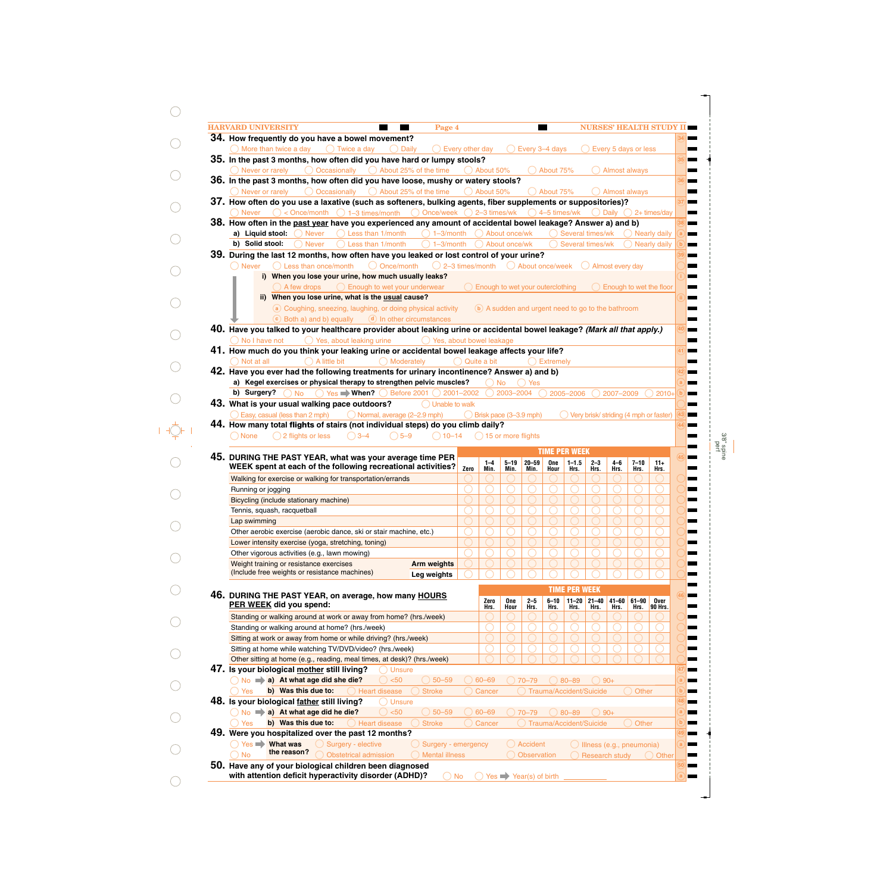| <b>HARVARD UNIVERSITY</b><br>Page 4                                                                                                                               |                       |                      |                          |                                                    | <b>Contract Contract Contract</b> |                                                                             |                             |                   |                      | <b>NURSES' HEALTH STUDY</b>              |  |
|-------------------------------------------------------------------------------------------------------------------------------------------------------------------|-----------------------|----------------------|--------------------------|----------------------------------------------------|-----------------------------------|-----------------------------------------------------------------------------|-----------------------------|-------------------|----------------------|------------------------------------------|--|
| 34. How frequently do you have a bowel movement?                                                                                                                  |                       |                      |                          |                                                    |                                   |                                                                             |                             |                   |                      |                                          |  |
| $\bigcirc$ More than twice a day $\bigcirc$ Twice a day<br>$\bigcirc$ Every other day<br>◯ Daily                                                                  |                       |                      |                          | $\bigcirc$ Every 3–4 days                          |                                   |                                                                             |                             |                   | Every 5 days or less |                                          |  |
| 35. In the past 3 months, how often did you have hard or lumpy stools?                                                                                            |                       |                      |                          |                                                    |                                   |                                                                             |                             |                   |                      |                                          |  |
| $\bigcirc$ Occasionally $\bigcirc$ About 25% of the time<br>() Never or rarely<br>36. In the past 3 months, how often did you have loose, mushy or watery stools? |                       | $\bigcirc$ About 50% |                          |                                                    | $\bigcirc$ About 75%              |                                                                             |                             |                   | Almost always        |                                          |  |
| $\bigcirc$ Occasionally $\bigcirc$ About 25% of the time<br>() Never or rarely                                                                                    |                       | About 50%            |                          |                                                    | $\bigcirc$ About 75%              |                                                                             |                             |                   | Almost always        |                                          |  |
| 37. How often do you use a laxative (such as softeners, bulking agents, fiber supplements or suppositories)?                                                      |                       |                      |                          |                                                    |                                   |                                                                             |                             |                   |                      |                                          |  |
| $\circ$ < Once/month $\circ$ 1-3 times/month $\circ$ Once/week $\circ$ 2-3 times/wk $\circ$ 4-5 times/wk<br><b>Never</b>                                          |                       |                      |                          |                                                    |                                   |                                                                             |                             |                   |                      | $\bigcirc$ Daily $\bigcirc$ 2+ times/day |  |
| 38. How often in the past year have you experienced any amount of accidental bowel leakage? Answer a) and b)                                                      |                       |                      |                          |                                                    |                                   |                                                                             |                             |                   |                      |                                          |  |
| a) Liquid stool:<br>$\bigcirc$ Less than 1/month<br>$\bigcirc$ 1-3/month<br><b>Never</b>                                                                          |                       |                      | About once/wk            |                                                    |                                   | () Several times/wk                                                         |                             |                   |                      | () Nearly daily                          |  |
| b) Solid stool:<br>Less than 1/month<br>$( ) 1 - 3$ /month<br><b>Never</b>                                                                                        |                       |                      | ○ About once/wk          |                                                    |                                   | Several times/wk                                                            |                             |                   |                      | <b>Nearly daily</b>                      |  |
| 39. During the last 12 months, how often have you leaked or lost control of your urine?                                                                           |                       |                      |                          |                                                    |                                   |                                                                             |                             |                   |                      |                                          |  |
| $\bigcirc$ Once/month<br>$\bigcirc$ 2–3 times/month $\bigcirc$ About once/week<br>$\bigcap$ Less than once/month<br>( ) Never                                     |                       |                      |                          |                                                    |                                   |                                                                             | $\bigcirc$ Almost every day |                   |                      |                                          |  |
| i) When you lose your urine, how much usually leaks?                                                                                                              |                       |                      |                          |                                                    |                                   |                                                                             |                             |                   |                      |                                          |  |
| $\bigcirc$ Enough to wet your underwear<br>$( )$ A few drops<br>ii) When you lose urine, what is the usual cause?                                                 |                       |                      |                          | Enough to wet your outerclothing                   |                                   |                                                                             |                             |                   |                      | $\bigcirc$ Enough to wet the floor       |  |
| a Coughing, sneezing, laughing, or doing physical activity                                                                                                        |                       |                      |                          | (b) A sudden and urgent need to go to the bathroom |                                   |                                                                             |                             |                   |                      |                                          |  |
| $\bullet$ Both a) and b) equally $\bullet$ In other circumstances                                                                                                 |                       |                      |                          |                                                    |                                   |                                                                             |                             |                   |                      |                                          |  |
| 40. Have you talked to your healthcare provider about leaking urine or accidental bowel leakage? (Mark all that apply.)                                           |                       |                      |                          |                                                    |                                   |                                                                             |                             |                   |                      |                                          |  |
| ◯ Yes, about bowel leakage<br>() No I have not<br>$\bigcirc$ Yes, about leaking urine                                                                             |                       |                      |                          |                                                    |                                   |                                                                             |                             |                   |                      |                                          |  |
| 41. How much do you think your leaking urine or accidental bowel leakage affects your life?                                                                       |                       |                      |                          |                                                    |                                   |                                                                             |                             |                   |                      |                                          |  |
| $\bigcap$ A little bit<br>$\bigcap$ Moderately<br>( ) Not at all                                                                                                  | $\bigcap$ Quite a bit |                      |                          |                                                    | Extremely                         |                                                                             |                             |                   |                      |                                          |  |
| 42. Have you ever had the following treatments for urinary incontinence? Answer a) and b)                                                                         |                       |                      |                          |                                                    |                                   |                                                                             |                             |                   |                      |                                          |  |
| a) Kegel exercises or physical therapy to strengthen pelvic muscles?                                                                                              |                       | $()$ No              |                          | <b>Yes</b>                                         |                                   |                                                                             |                             |                   |                      |                                          |  |
| b) Surgery?<br>$\bigcirc$ No<br>$\bigcirc$ Yes When? $\bigcirc$ Before 2001 $\bigcirc$ 2001-2002<br>43. What is your usual walking pace outdoors?                 |                       |                      | 2003-2004                |                                                    |                                   | 2005-2006                                                                   |                             | 2007-2009         |                      | 2010+                                    |  |
| $\bigcap$ Unable to walk                                                                                                                                          |                       |                      |                          |                                                    |                                   |                                                                             |                             |                   |                      |                                          |  |
|                                                                                                                                                                   |                       |                      |                          |                                                    |                                   |                                                                             |                             |                   |                      |                                          |  |
| Easy, casual (less than 2 mph)<br>O Normal, average (2-2.9 mph)                                                                                                   |                       |                      |                          |                                                    |                                   | $\bigcirc$ Brisk pace (3-3.9 mph)<br>Very brisk/ striding (4 mph or faster) |                             |                   |                      |                                          |  |
| 44. How many total flights of stairs (not individual steps) do you climb daily?                                                                                   |                       |                      |                          |                                                    |                                   |                                                                             |                             |                   |                      |                                          |  |
| $\bigcirc$ 5-9<br>$\bigcirc$ None<br>$\bigcirc$ 2 flights or less<br>$()3-4$<br>$() 10 - 14$                                                                      |                       |                      | $( ) 15$ or more flights |                                                    |                                   |                                                                             |                             |                   |                      |                                          |  |
|                                                                                                                                                                   |                       |                      |                          |                                                    |                                   | <b>TIME PER WEEK</b>                                                        |                             |                   |                      |                                          |  |
| 45. DURING THE PAST YEAR, what was your average time PER<br>WEEK spent at each of the following recreational activities?                                          | Zero                  | $1 - 4$<br>Min.      | $5 - 19$<br>Min.         | $20 - 59$<br>Min.                                  | One<br>Hour                       | $1 - 1.5$<br>Hrs.                                                           | $2 - 3$<br>Hrs.             | $4-6$<br>Hrs.     | $7 - 10$<br>Hrs.     | $11+$<br>Hrs.                            |  |
| Walking for exercise or walking for transportation/errands                                                                                                        |                       |                      |                          |                                                    |                                   |                                                                             |                             |                   |                      |                                          |  |
| Running or jogging                                                                                                                                                |                       |                      |                          |                                                    |                                   |                                                                             |                             |                   |                      |                                          |  |
| Bicycling (include stationary machine)                                                                                                                            |                       |                      |                          |                                                    |                                   |                                                                             |                             |                   |                      |                                          |  |
| Tennis, squash, racquetball                                                                                                                                       |                       |                      |                          |                                                    |                                   |                                                                             |                             |                   |                      |                                          |  |
| Lap swimming                                                                                                                                                      |                       |                      |                          |                                                    |                                   |                                                                             |                             |                   |                      |                                          |  |
| Other aerobic exercise (aerobic dance, ski or stair machine, etc.)                                                                                                |                       |                      |                          |                                                    |                                   |                                                                             |                             |                   |                      |                                          |  |
| Lower intensity exercise (yoga, stretching, toning)                                                                                                               |                       |                      |                          |                                                    |                                   |                                                                             |                             |                   |                      |                                          |  |
| Other vigorous activities (e.g., lawn mowing)                                                                                                                     |                       |                      |                          |                                                    |                                   |                                                                             |                             |                   |                      |                                          |  |
| Weight training or resistance exercises<br><b>Arm weights</b><br>(Include free weights or resistance machines)                                                    |                       |                      |                          |                                                    |                                   |                                                                             |                             |                   |                      |                                          |  |
| Leg weights                                                                                                                                                       |                       |                      |                          |                                                    |                                   |                                                                             |                             |                   |                      |                                          |  |
|                                                                                                                                                                   |                       |                      |                          |                                                    |                                   | <b>TIME PER WEEK</b>                                                        |                             |                   |                      |                                          |  |
| 46. DURING THE PAST YEAR, on average, how many HOURS<br>PER WEEK did you spend:                                                                                   |                       | Zero<br>Hrs.         | One<br>Hour              | $2 - 5$<br>Hrs.                                    | $6 - 10$<br>Hrs.                  | Hrs.                                                                        | $11 - 20$ 21-40<br>Hrs.     | $41 - 60$<br>Hrs. | $61 - 90$<br>Hrs.    | Over<br>90 Hrs.                          |  |
| Standing or walking around at work or away from home? (hrs./week)                                                                                                 |                       |                      |                          |                                                    |                                   |                                                                             |                             |                   |                      |                                          |  |
| Standing or walking around at home? (hrs./week)                                                                                                                   |                       |                      |                          |                                                    |                                   |                                                                             |                             |                   |                      |                                          |  |
| Sitting at work or away from home or while driving? (hrs./week)                                                                                                   |                       |                      |                          |                                                    |                                   |                                                                             |                             |                   |                      |                                          |  |
| Sitting at home while watching TV/DVD/video? (hrs./week)                                                                                                          |                       |                      |                          |                                                    |                                   |                                                                             |                             |                   |                      |                                          |  |
| Other sitting at home (e.g., reading, meal times, at desk)? (hrs./week)                                                                                           |                       |                      |                          |                                                    |                                   |                                                                             |                             |                   |                      |                                          |  |
| 47. Is your biological mother still living?<br><b>Unsure</b>                                                                                                      |                       |                      |                          |                                                    |                                   |                                                                             |                             |                   |                      |                                          |  |
| No > a) At what age did she die?<br>$\bigcirc$ 50-59<br>() < 50                                                                                                   |                       | $60 - 69$            |                          | $70 - 79$                                          |                                   | 80-89                                                                       | $( ) 90+$                   |                   |                      |                                          |  |
| b) Was this due to:<br>Heart disease<br><b>Yes</b><br><b>Stroke</b>                                                                                               |                       | Cancer               |                          |                                                    |                                   | Trauma/Accident/Suicide                                                     |                             |                   | Other                |                                          |  |
| 48. Is your biological father still living?<br><b>Unsure</b>                                                                                                      |                       |                      |                          |                                                    |                                   |                                                                             |                             |                   |                      |                                          |  |
| $No \Rightarrow a)$ At what age did he die?<br>< 50<br>$( ) 50 - 59$                                                                                              |                       | $60 - 69$            |                          | $70 - 79$                                          |                                   | 80-89                                                                       |                             | $90+$             |                      |                                          |  |
| b) Was this due to:<br>$\bigcirc$ Heart disease<br><b>Stroke</b><br>Yes                                                                                           |                       | Cancer               |                          |                                                    |                                   | Trauma/Accident/Suicide                                                     |                             |                   | Other                |                                          |  |
| 49. Were you hospitalized over the past 12 months?<br>Yes <b>What was</b><br>◯ Surgery - elective<br>Surgery - emergency                                          |                       |                      |                          | Accident                                           |                                   |                                                                             | Ullness (e.g., pneumonia)   |                   |                      |                                          |  |

 $\bigcirc$ 

 $\bigcirc$ 

 $\bigcirc$ 

 $\bigcirc$ 

 $\bigcirc$ 

 $\bigcirc$ 

 $\bigcirc$ 

 $\bigcirc$ 

 $\bigcirc$ 

 $\begin{picture}(20,5) \put(0,0){\line(1,0){155}} \put(15,0){\line(1,0){155}} \put(15,0){\line(1,0){155}} \put(15,0){\line(1,0){155}} \put(15,0){\line(1,0){155}} \put(15,0){\line(1,0){155}} \put(15,0){\line(1,0){155}} \put(15,0){\line(1,0){155}} \put(15,0){\line(1,0){155}} \put(15,0){\line(1,0){155}} \put(15,0){\line(1,0){155}} \put$ 

 $\bigcirc$ 

 $\bigcirc$ 

 $\bigcirc$ 

 $\bigcirc$ 

 $\bigcirc$ 

 $\bigcirc$ 

 $\bigcirc$ 

 $\bigcirc$ 

 $\bigcirc$ 

 $\bigcirc$ 

 $\bigcirc$ 

3/8" spine perf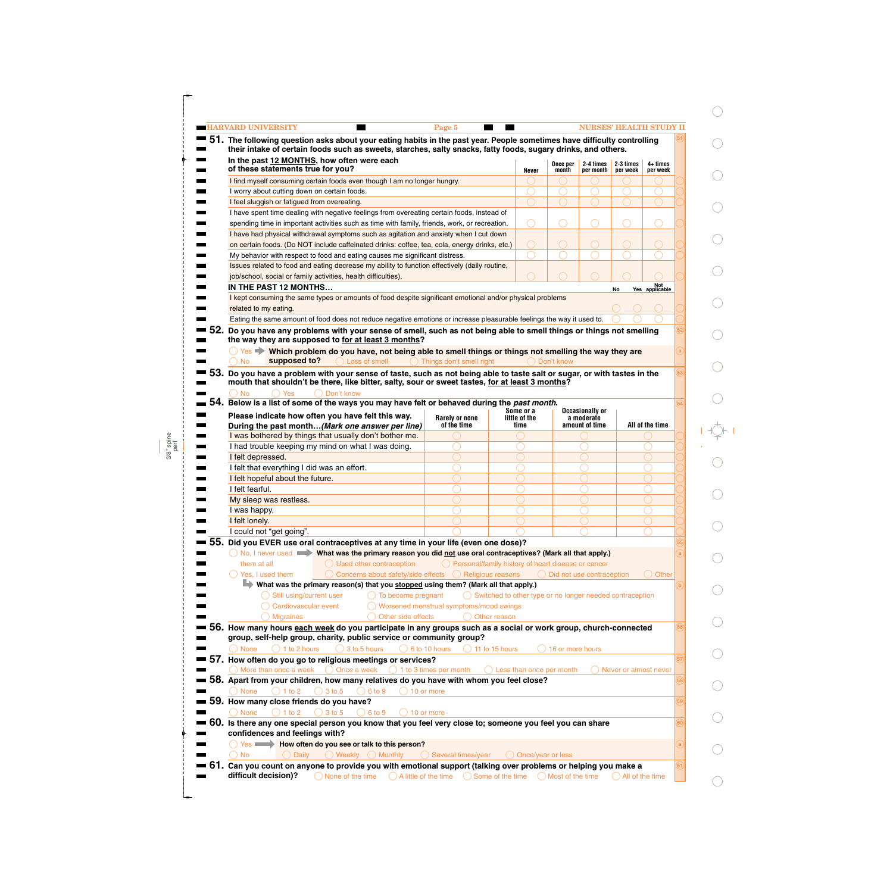|     | <b>-HARVARD UNIVERSITY</b><br>51. The following question asks about your eating habits in the past year. People sometimes have difficulty controlling | Page 5                                               |                                                                     |                                      |                                                                                                            | <b>NURSES' HEALTH STUDY II</b>  |                        |    |
|-----|-------------------------------------------------------------------------------------------------------------------------------------------------------|------------------------------------------------------|---------------------------------------------------------------------|--------------------------------------|------------------------------------------------------------------------------------------------------------|---------------------------------|------------------------|----|
|     | their intake of certain foods such as sweets, starches, salty snacks, fatty foods, sugary drinks, and others.                                         |                                                      |                                                                     |                                      |                                                                                                            |                                 |                        |    |
|     | In the past 12 MONTHS, how often were each<br>of these statements true for you?                                                                       |                                                      | Never                                                               | Once per<br>month                    | per month                                                                                                  | 2-4 times 2-3 times<br>per week | $4+$ times<br>per week |    |
|     | I find myself consuming certain foods even though I am no longer hungry.                                                                              |                                                      |                                                                     |                                      |                                                                                                            |                                 |                        |    |
|     | I worry about cutting down on certain foods.                                                                                                          |                                                      |                                                                     |                                      |                                                                                                            |                                 |                        |    |
|     | I feel sluggish or fatigued from overeating.                                                                                                          |                                                      |                                                                     |                                      |                                                                                                            |                                 |                        |    |
|     | I have spent time dealing with negative feelings from overeating certain foods, instead of                                                            |                                                      |                                                                     |                                      |                                                                                                            |                                 |                        |    |
|     | spending time in important activities such as time with family, friends, work, or recreation.                                                         |                                                      |                                                                     |                                      |                                                                                                            |                                 |                        |    |
|     | I have had physical withdrawal symptoms such as agitation and anxiety when I cut down                                                                 |                                                      |                                                                     |                                      |                                                                                                            |                                 |                        |    |
|     | on certain foods. (Do NOT include caffeinated drinks: coffee, tea, cola, energy drinks, etc.)                                                         |                                                      | $\bigcirc$                                                          | $\bigcirc$                           |                                                                                                            |                                 |                        |    |
|     | My behavior with respect to food and eating causes me significant distress.                                                                           |                                                      |                                                                     |                                      |                                                                                                            |                                 |                        |    |
|     | Issues related to food and eating decrease my ability to function effectively (daily routine,                                                         |                                                      |                                                                     |                                      |                                                                                                            |                                 |                        |    |
|     | job/school, social or family activities, health difficulties).                                                                                        |                                                      |                                                                     |                                      |                                                                                                            |                                 |                        |    |
|     | IN THE PAST 12 MONTHS                                                                                                                                 |                                                      |                                                                     |                                      |                                                                                                            | No                              | Not<br>Yes applicable  |    |
|     | I kept consuming the same types or amounts of food despite significant emotional and/or physical problems                                             |                                                      |                                                                     |                                      |                                                                                                            |                                 |                        |    |
|     | related to my eating.                                                                                                                                 |                                                      |                                                                     |                                      |                                                                                                            |                                 |                        |    |
|     | Eating the same amount of food does not reduce negative emotions or increase pleasurable feelings the way it used to.                                 |                                                      |                                                                     |                                      |                                                                                                            |                                 |                        |    |
|     | Do you have any problems with your sense of smell, such as not being able to smell things or things not smelling                                      |                                                      |                                                                     |                                      |                                                                                                            |                                 |                        |    |
|     | the way they are supposed to for at least 3 months?                                                                                                   |                                                      |                                                                     |                                      |                                                                                                            |                                 |                        |    |
|     | $\bigcirc$ Yes $\blacktriangleright$ Which problem do you have, not being able to smell things or things not smelling the way they are                |                                                      |                                                                     |                                      |                                                                                                            |                                 |                        |    |
|     | supposed to?<br>$\bigcirc$ Loss of smell<br><b>No</b>                                                                                                 | Things don't smell right                             |                                                                     | Don't know                           |                                                                                                            |                                 |                        |    |
| 53. | Do you have a problem with your sense of taste, such as not being able to taste salt or sugar, or with tastes in the                                  |                                                      |                                                                     |                                      |                                                                                                            |                                 |                        |    |
|     | mouth that shouldn't be there, like bitter, salty, sour or sweet tastes, for at least 3 months?                                                       |                                                      |                                                                     |                                      |                                                                                                            |                                 |                        |    |
|     | Yes<br>◯ Don't know<br><b>No</b><br>54. Below is a list of some of the ways you may have felt or behaved during the past month.                       |                                                      |                                                                     |                                      |                                                                                                            |                                 |                        |    |
|     |                                                                                                                                                       |                                                      | Some or a                                                           |                                      | Occasionally or                                                                                            |                                 |                        |    |
|     | Please indicate how often you have felt this way.                                                                                                     | <b>Rarely or none</b>                                | little of the                                                       |                                      | a moderate                                                                                                 |                                 | All of the time        |    |
|     | During the past month(Mark one answer per line)                                                                                                       | of the time                                          | time                                                                |                                      | amount of time                                                                                             |                                 |                        |    |
|     | I was bothered by things that usually don't bother me.                                                                                                |                                                      |                                                                     |                                      |                                                                                                            |                                 |                        |    |
|     | I had trouble keeping my mind on what I was doing.                                                                                                    |                                                      |                                                                     |                                      |                                                                                                            |                                 |                        |    |
|     | I felt depressed.                                                                                                                                     |                                                      |                                                                     |                                      |                                                                                                            |                                 |                        |    |
|     | I felt that everything I did was an effort.                                                                                                           |                                                      |                                                                     |                                      |                                                                                                            |                                 |                        |    |
|     | I felt hopeful about the future.                                                                                                                      |                                                      |                                                                     |                                      |                                                                                                            |                                 |                        |    |
|     | I felt fearful.                                                                                                                                       |                                                      |                                                                     |                                      |                                                                                                            |                                 |                        |    |
|     | My sleep was restless.                                                                                                                                |                                                      |                                                                     |                                      |                                                                                                            |                                 |                        |    |
|     | I was happy.                                                                                                                                          |                                                      |                                                                     |                                      |                                                                                                            |                                 |                        |    |
|     | I felt lonely.                                                                                                                                        |                                                      |                                                                     |                                      |                                                                                                            |                                 |                        |    |
|     | I could not "get going".                                                                                                                              |                                                      |                                                                     |                                      |                                                                                                            |                                 |                        |    |
| 55. | Did you EVER use oral contraceptives at any time in your life (even one dose)?                                                                        |                                                      |                                                                     |                                      |                                                                                                            |                                 |                        |    |
|     | ◯ No, I never used $\blacktriangleright$ What was the primary reason you did not use oral contraceptives? (Mark all that apply.)                      |                                                      |                                                                     |                                      |                                                                                                            |                                 |                        |    |
|     | them at all<br>$\bigcirc$ Used other contraception                                                                                                    | O Personal/family history of heart disease or cancer |                                                                     |                                      |                                                                                                            |                                 |                        |    |
|     | Yes, I used them<br>Concerns about safety/side effects                                                                                                | ◯ Religious reasons                                  |                                                                     | $\bigcirc$ Did not use contraception |                                                                                                            |                                 | ( ) Other              |    |
|     | What was the primary reason(s) that you stopped using them? (Mark all that apply.)                                                                    |                                                      |                                                                     |                                      |                                                                                                            |                                 |                        |    |
|     | Still using/current user<br>$\bigcirc$ To become pregnant                                                                                             |                                                      | $\bigcirc$ Switched to other type or no longer needed contraception |                                      |                                                                                                            |                                 |                        |    |
|     | Cardiovascular event                                                                                                                                  | Worsened menstrual symptoms/mood swings              |                                                                     |                                      |                                                                                                            |                                 |                        |    |
|     | <b>Migraines</b><br>Other side effects                                                                                                                | Other reason                                         |                                                                     |                                      |                                                                                                            |                                 |                        |    |
|     | 56. How many hours each week do you participate in any groups such as a social or work group, church-connected                                        |                                                      |                                                                     |                                      |                                                                                                            |                                 |                        |    |
|     | group, self-help group, charity, public service or community group?                                                                                   |                                                      |                                                                     |                                      |                                                                                                            |                                 |                        |    |
|     | $\bigcirc$ 1 to 2 hours<br>3 to 5 hours<br>$\bigcirc$ 6 to 10 hours<br><b>None</b>                                                                    | $\bigcirc$ 11 to 15 hours                            |                                                                     | 16 or more hours                     |                                                                                                            |                                 |                        |    |
|     | 57. How often do you go to religious meetings or services?                                                                                            |                                                      |                                                                     |                                      |                                                                                                            |                                 |                        |    |
|     | More than once a week<br>◯ Once a week                                                                                                                | $\bigcirc$ 1 to 3 times per month                    | () Less than once per month                                         |                                      |                                                                                                            | () Never or almost never        |                        |    |
|     | 58. Apart from your children, how many relatives do you have with whom you feel close?                                                                |                                                      |                                                                     |                                      |                                                                                                            |                                 |                        |    |
|     | <b>None</b><br>1 to 2<br>3 to 5<br>6 to 9<br>10 or more                                                                                               |                                                      |                                                                     |                                      |                                                                                                            |                                 |                        |    |
|     | 59. How many close friends do you have?                                                                                                               |                                                      |                                                                     |                                      |                                                                                                            |                                 |                        | 59 |
|     | $\bigcirc$ 3 to 5<br><b>None</b><br>$1$ to $2$<br>() 6 10 9<br>10 or more                                                                             |                                                      |                                                                     |                                      |                                                                                                            |                                 |                        |    |
|     | 60. Is there any one special person you know that you feel very close to; someone you feel you can share                                              |                                                      |                                                                     |                                      |                                                                                                            |                                 |                        |    |
|     | confidences and feelings with?                                                                                                                        |                                                      |                                                                     |                                      |                                                                                                            |                                 |                        |    |
|     | Yes Westow How often do you see or talk to this person?                                                                                               |                                                      |                                                                     |                                      |                                                                                                            |                                 |                        |    |
|     |                                                                                                                                                       |                                                      |                                                                     |                                      |                                                                                                            |                                 |                        |    |
|     | <b>No</b><br><b>Daily</b><br>Weekly $\bigcirc$ Monthly                                                                                                | Several times/year                                   | O Once/year or less                                                 |                                      | Can you count on anyone to provide you with emotional support (talking over problems or helping you make a |                                 |                        |    |

 $\bigcirc$ 

 $\bigcirc$ 

 $\bigcirc$ 

 $\bigcirc$ 

 $\bigcirc$ 

 $\bigcirc$ 

 $\bigcirc$ 

 $\bigcirc$ 

 $\bigcirc$ 

 $\begin{picture}(20,5) \put(0,0) {\line(0,1){10}} \put(15,0) {\line(0,1){10}} \put(15,0) {\line(0,1){10}} \put(15,0) {\line(0,1){10}} \put(15,0) {\line(0,1){10}} \put(15,0) {\line(0,1){10}} \put(15,0) {\line(0,1){10}} \put(15,0) {\line(0,1){10}} \put(15,0) {\line(0,1){10}} \put(15,0) {\line(0,1){10}} \put(15,0) {\line(0,1){10}} \put(15,0) {\line(0,$ 

 $\bigcirc$ 

 $\bigcirc$ 

 $\bigcirc$ 

 $\bigcirc$ 

 $\bigcirc$ 

 $\bigcirc$ 

 $\bigcirc$ 

 $\bigcirc$ 

 $\bigcirc$ 

 $\bigcirc$ 

 $\bigcirc$